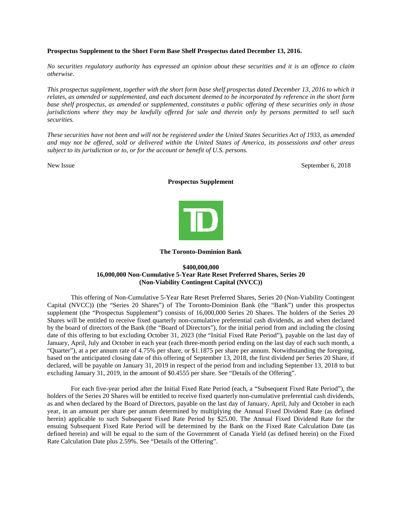### **Prospectus Supplement to the Short Form Base Shelf Prospectus dated December 13, 2016.**

*No securities regulatory authority has expressed an opinion about these securities and it is an offence to claim otherwise.*

*This prospectus supplement, together with the short form base shelf prospectus dated December 13, 2016 to which it relates, as amended or supplemented, and each document deemed to be incorporated by reference in the short form base shelf prospectus, as amended or supplemented, constitutes a public offering of these securities only in those jurisdictions where they may be lawfully offered for sale and therein only by persons permitted to sell such securities.*

*These securities have not been and will not be registered under the United States Securities Act of 1933, as amended and may not be offered, sold or delivered within the United States of America, its possessions and other areas subject to its jurisdiction or to, or for the account or benefit of U.S. persons.*

New Issue September 6, 2018

### **Prospectus Supplement**



#### **The Toronto-Dominion Bank**

# **\$400,000,000 16,000,000 Non-Cumulative 5-Year Rate Reset Preferred Shares, Series 20 (Non-Viability Contingent Capital (NVCC))**

This offering of Non-Cumulative 5-Year Rate Reset Preferred Shares, Series 20 (Non-Viability Contingent Capital (NVCC)) (the "Series 20 Shares") of The Toronto-Dominion Bank (the "Bank") under this prospectus supplement (the "Prospectus Supplement") consists of 16,000,000 Series 20 Shares. The holders of the Series 20 Shares will be entitled to receive fixed quarterly non-cumulative preferential cash dividends, as and when declared by the board of directors of the Bank (the "Board of Directors"), for the initial period from and including the closing date of this offering to but excluding October 31, 2023 (the "Initial Fixed Rate Period"), payable on the last day of January, April, July and October in each year (each three-month period ending on the last day of each such month, a "Quarter"), at a per annum rate of 4.75% per share, or \$1.1875 per share per annum. Notwithstanding the foregoing, based on the anticipated closing date of this offering of September 13, 2018, the first dividend per Series 20 Share, if declared, will be payable on January 31, 2019 in respect of the period from and including September 13, 2018 to but excluding January 31, 2019, in the amount of \$0.4555 per share. See "Details of the Offering".

For each five-year period after the Initial Fixed Rate Period (each, a "Subsequent Fixed Rate Period"), the holders of the Series 20 Shares will be entitled to receive fixed quarterly non-cumulative preferential cash dividends, as and when declared by the Board of Directors, payable on the last day of January, April, July and October in each year, in an amount per share per annum determined by multiplying the Annual Fixed Dividend Rate (as defined herein) applicable to such Subsequent Fixed Rate Period by \$25.00. The Annual Fixed Dividend Rate for the ensuing Subsequent Fixed Rate Period will be determined by the Bank on the Fixed Rate Calculation Date (as defined herein) and will be equal to the sum of the Government of Canada Yield (as defined herein) on the Fixed Rate Calculation Date plus 2.59%. See "Details of the Offering".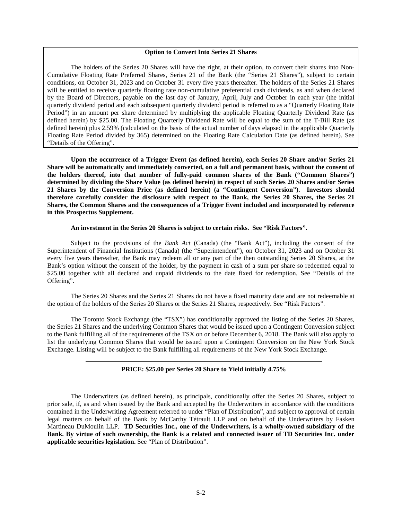### **Option to Convert Into Series 21 Shares**

The holders of the Series 20 Shares will have the right, at their option, to convert their shares into Non-Cumulative Floating Rate Preferred Shares, Series 21 of the Bank (the "Series 21 Shares"), subject to certain conditions, on October 31, 2023 and on October 31 every five years thereafter. The holders of the Series 21 Shares will be entitled to receive quarterly floating rate non-cumulative preferential cash dividends, as and when declared by the Board of Directors, payable on the last day of January, April, July and October in each year (the initial quarterly dividend period and each subsequent quarterly dividend period is referred to as a "Quarterly Floating Rate Period") in an amount per share determined by multiplying the applicable Floating Quarterly Dividend Rate (as defined herein) by \$25.00. The Floating Quarterly Dividend Rate will be equal to the sum of the T-Bill Rate (as defined herein) plus 2.59% (calculated on the basis of the actual number of days elapsed in the applicable Quarterly Floating Rate Period divided by 365) determined on the Floating Rate Calculation Date (as defined herein). See "Details of the Offering".

**Upon the occurrence of a Trigger Event (as defined herein), each Series 20 Share and/or Series 21 Share will be automatically and immediately converted, on a full and permanent basis, without the consent of the holders thereof, into that number of fully-paid common shares of the Bank ("Common Shares") determined by dividing the Share Value (as defined herein) in respect of such Series 20 Shares and/or Series 21 Shares by the Conversion Price (as defined herein) (a "Contingent Conversion"). Investors should therefore carefully consider the disclosure with respect to the Bank, the Series 20 Shares, the Series 21 Shares, the Common Shares and the consequences of a Trigger Event included and incorporated by reference in this Prospectus Supplement.**

### **An investment in the Series 20 Shares is subject to certain risks. See "Risk Factors".**

Subject to the provisions of the *Bank Act* (Canada) (the "Bank Act"), including the consent of the Superintendent of Financial Institutions (Canada) (the "Superintendent"), on October 31, 2023 and on October 31 every five years thereafter, the Bank may redeem all or any part of the then outstanding Series 20 Shares, at the Bank's option without the consent of the holder, by the payment in cash of a sum per share so redeemed equal to \$25.00 together with all declared and unpaid dividends to the date fixed for redemption. See "Details of the Offering".

The Series 20 Shares and the Series 21 Shares do not have a fixed maturity date and are not redeemable at the option of the holders of the Series 20 Shares or the Series 21 Shares, respectively. See "Risk Factors".

The Toronto Stock Exchange (the "TSX") has conditionally approved the listing of the Series 20 Shares, the Series 21 Shares and the underlying Common Shares that would be issued upon a Contingent Conversion subject to the Bank fulfilling all of the requirements of the TSX on or before December 6, 2018. The Bank will also apply to list the underlying Common Shares that would be issued upon a Contingent Conversion on the New York Stock Exchange. Listing will be subject to the Bank fulfilling all requirements of the New York Stock Exchange.

### **PRICE: \$25.00 per Series 20 Share to Yield initially 4.75%**

The Underwriters (as defined herein), as principals, conditionally offer the Series 20 Shares, subject to prior sale, if, as and when issued by the Bank and accepted by the Underwriters in accordance with the conditions contained in the Underwriting Agreement referred to under "Plan of Distribution", and subject to approval of certain legal matters on behalf of the Bank by McCarthy Tétrault LLP and on behalf of the Underwriters by Fasken Martineau DuMoulin LLP. **TD Securities Inc., one of the Underwriters, is a wholly-owned subsidiary of the Bank. By virtue of such ownership, the Bank is a related and connected issuer of TD Securities Inc. under applicable securities legislation.** See "Plan of Distribution".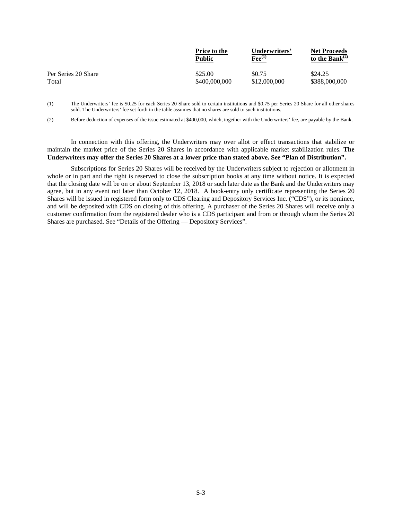|                     | <b>Price to the</b> | Underwriters'            | <b>Net Proceeds</b>  |
|---------------------|---------------------|--------------------------|----------------------|
|                     | Public              | $\mathbf{F}$ ee $^{(1)}$ | to the Bank $^{(2)}$ |
| Per Series 20 Share | \$25.00             | \$0.75                   | \$24.25              |
| Total               | \$400,000,000       | \$12,000,000             | \$388,000,000        |

(1) The Underwriters' fee is \$0.25 for each Series 20 Share sold to certain institutions and \$0.75 per Series 20 Share for all other shares sold. The Underwriters' fee set forth in the table assumes that no shares are sold to such institutions.

(2) Before deduction of expenses of the issue estimated at \$400,000, which, together with the Underwriters' fee, are payable by the Bank.

In connection with this offering, the Underwriters may over allot or effect transactions that stabilize or maintain the market price of the Series 20 Shares in accordance with applicable market stabilization rules. **The Underwriters may offer the Series 20 Shares at a lower price than stated above. See "Plan of Distribution".**

Subscriptions for Series 20 Shares will be received by the Underwriters subject to rejection or allotment in whole or in part and the right is reserved to close the subscription books at any time without notice. It is expected that the closing date will be on or about September 13, 2018 or such later date as the Bank and the Underwriters may agree, but in any event not later than October 12, 2018. A book-entry only certificate representing the Series 20 Shares will be issued in registered form only to CDS Clearing and Depository Services Inc. ("CDS"), or its nominee, and will be deposited with CDS on closing of this offering. A purchaser of the Series 20 Shares will receive only a customer confirmation from the registered dealer who is a CDS participant and from or through whom the Series 20 Shares are purchased. See "Details of the Offering — Depository Services".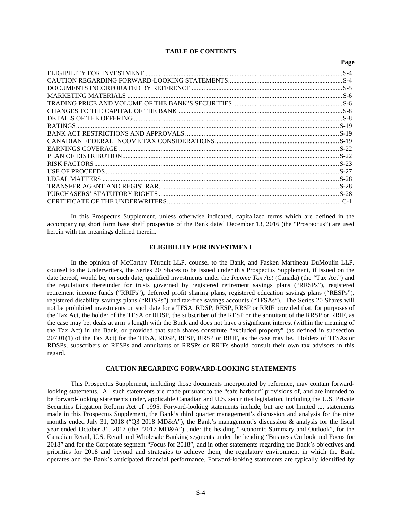# **TABLE OF CONTENTS**

 $P_{\alpha\alpha\alpha}$ 

In this Prospectus Supplement, unless otherwise indicated, capitalized terms which are defined in the accompanying short form base shelf prospectus of the Bank dated December 13, 2016 (the "Prospectus") are used herein with the meanings defined therein.

### **ELIGIBILITY FOR INVESTMENT**

In the opinion of McCarthy Tétrault LLP, counsel to the Bank, and Fasken Martineau DuMoulin LLP, counsel to the Underwriters, the Series 20 Shares to be issued under this Prospectus Supplement, if issued on the date hereof, would be, on such date, qualified investments under the *Income Tax Act* (Canada) (the "Tax Act") and the regulations thereunder for trusts governed by registered retirement savings plans ("RRSPs"), registered retirement income funds ("RRIFs"), deferred profit sharing plans, registered education savings plans ("RESPs"), registered disability savings plans ("RDSPs") and tax-free savings accounts ("TFSAs"). The Series 20 Shares will not be prohibited investments on such date for a TFSA, RDSP, RESP, RRSP or RRIF provided that, for purposes of the Tax Act, the holder of the TFSA or RDSP, the subscriber of the RESP or the annuitant of the RRSP or RRIF, as the case may be, deals at arm's length with the Bank and does not have a significant interest (within the meaning of the Tax Act) in the Bank, or provided that such shares constitute "excluded property" (as defined in subsection 207.01(1) of the Tax Act) for the TFSA, RDSP, RESP, RRSP or RRIF, as the case may be. Holders of TFSAs or RDSPs, subscribers of RESPs and annuitants of RRSPs or RRIFs should consult their own tax advisors in this regard.

# **CAUTION REGARDING FORWARD-LOOKING STATEMENTS**

This Prospectus Supplement, including those documents incorporated by reference, may contain forwardlooking statements. All such statements are made pursuant to the "safe harbour" provisions of, and are intended to be forward-looking statements under, applicable Canadian and U.S. securities legislation, including the U.S. Private Securities Litigation Reform Act of 1995. Forward-looking statements include, but are not limited to, statements made in this Prospectus Supplement, the Bank's third quarter management's discussion and analysis for the nine months ended July 31, 2018 ("Q3 2018 MD&A"), the Bank's management's discussion & analysis for the fiscal year ended October 31, 2017 (the "2017 MD&A") under the heading "Economic Summary and Outlook", for the Canadian Retail, U.S. Retail and Wholesale Banking segments under the heading "Business Outlook and Focus for 2018" and for the Corporate segment "Focus for 2018", and in other statements regarding the Bank's objectives and priorities for 2018 and beyond and strategies to achieve them, the regulatory environment in which the Bank operates and the Bank's anticipated financial performance. Forward-looking statements are typically identified by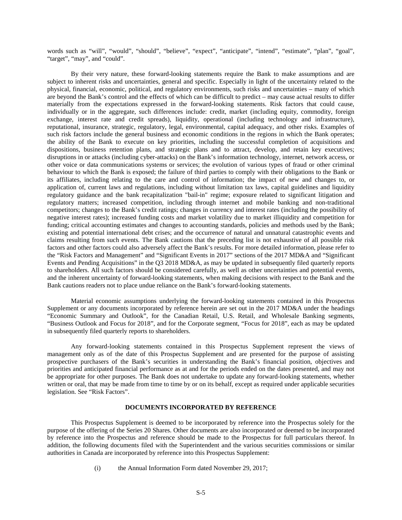words such as "will", "would", "should", "believe", "expect", "anticipate", "intend", "estimate", "plan", "goal", "target", "may", and "could".

By their very nature, these forward-looking statements require the Bank to make assumptions and are subject to inherent risks and uncertainties, general and specific. Especially in light of the uncertainty related to the physical, financial, economic, political, and regulatory environments, such risks and uncertainties – many of which are beyond the Bank's control and the effects of which can be difficult to predict – may cause actual results to differ materially from the expectations expressed in the forward-looking statements. Risk factors that could cause, individually or in the aggregate, such differences include: credit, market (including equity, commodity, foreign exchange, interest rate and credit spreads), liquidity, operational (including technology and infrastructure), reputational, insurance, strategic, regulatory, legal, environmental, capital adequacy, and other risks. Examples of such risk factors include the general business and economic conditions in the regions in which the Bank operates; the ability of the Bank to execute on key priorities, including the successful completion of acquisitions and dispositions, business retention plans, and strategic plans and to attract, develop, and retain key executives; disruptions in or attacks (including cyber-attacks) on the Bank's information technology, internet, network access, or other voice or data communications systems or services; the evolution of various types of fraud or other criminal behaviour to which the Bank is exposed; the failure of third parties to comply with their obligations to the Bank or its affiliates, including relating to the care and control of information; the impact of new and changes to, or application of, current laws and regulations, including without limitation tax laws, capital guidelines and liquidity regulatory guidance and the bank recapitalization "bail-in" regime; exposure related to significant litigation and regulatory matters; increased competition, including through internet and mobile banking and non-traditional competitors; changes to the Bank's credit ratings; changes in currency and interest rates (including the possibility of negative interest rates); increased funding costs and market volatility due to market illiquidity and competition for funding; critical accounting estimates and changes to accounting standards, policies and methods used by the Bank; existing and potential international debt crises; and the occurrence of natural and unnatural catastrophic events and claims resulting from such events. The Bank cautions that the preceding list is not exhaustive of all possible risk factors and other factors could also adversely affect the Bank's results. For more detailed information, please refer to the "Risk Factors and Management" and "Significant Events in 2017" sections of the 2017 MD&A and "Significant Events and Pending Acquisitions" in the Q3 2018 MD&A, as may be updated in subsequently filed quarterly reports to shareholders. All such factors should be considered carefully, as well as other uncertainties and potential events, and the inherent uncertainty of forward-looking statements, when making decisions with respect to the Bank and the Bank cautions readers not to place undue reliance on the Bank's forward-looking statements.

Material economic assumptions underlying the forward-looking statements contained in this Prospectus Supplement or any documents incorporated by reference herein are set out in the 2017 MD&A under the headings "Economic Summary and Outlook", for the Canadian Retail, U.S. Retail, and Wholesale Banking segments, "Business Outlook and Focus for 2018", and for the Corporate segment, "Focus for 2018", each as may be updated in subsequently filed quarterly reports to shareholders.

Any forward-looking statements contained in this Prospectus Supplement represent the views of management only as of the date of this Prospectus Supplement and are presented for the purpose of assisting prospective purchasers of the Bank's securities in understanding the Bank's financial position, objectives and priorities and anticipated financial performance as at and for the periods ended on the dates presented, and may not be appropriate for other purposes. The Bank does not undertake to update any forward-looking statements, whether written or oral, that may be made from time to time by or on its behalf, except as required under applicable securities legislation. See "Risk Factors".

### **DOCUMENTS INCORPORATED BY REFERENCE**

This Prospectus Supplement is deemed to be incorporated by reference into the Prospectus solely for the purpose of the offering of the Series 20 Shares. Other documents are also incorporated or deemed to be incorporated by reference into the Prospectus and reference should be made to the Prospectus for full particulars thereof. In addition, the following documents filed with the Superintendent and the various securities commissions or similar authorities in Canada are incorporated by reference into this Prospectus Supplement:

(i) the Annual Information Form dated November 29, 2017;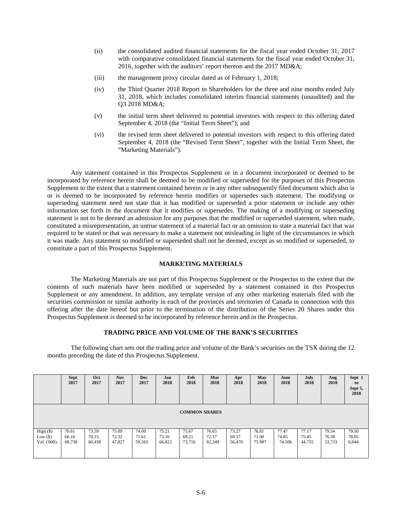- (ii) the consolidated audited financial statements for the fiscal year ended October 31, 2017 with comparative consolidated financial statements for the fiscal year ended October 31, 2016, together with the auditors' report thereon and the 2017 MD&A;
- (iii) the management proxy circular dated as of February 1, 2018;
- (iv) the Third Quarter 2018 Report to Shareholders for the three and nine months ended July 31, 2018, which includes consolidated interim financial statements (unaudited) and the Q3 2018 MD&A;
- (v) the initial term sheet delivered to potential investors with respect to this offering dated September 4, 2018 (the "Initial Term Sheet"); and
- (vi) the revised term sheet delivered to potential investors with respect to this offering dated September 4, 2018 (the "Revised Term Sheet", together with the Initial Term Sheet, the "Marketing Materials").

Any statement contained in this Prospectus Supplement or in a document incorporated or deemed to be incorporated by reference herein shall be deemed to be modified or superseded for the purposes of this Prospectus Supplement to the extent that a statement contained herein or in any other subsequently filed document which also is or is deemed to be incorporated by reference herein modifies or supersedes such statement. The modifying or superseding statement need not state that it has modified or superseded a prior statement or include any other information set forth in the document that it modifies or supersedes. The making of a modifying or superseding statement is not to be deemed an admission for any purposes that the modified or superseded statement, when made, constituted a misrepresentation, an untrue statement of a material fact or an omission to state a material fact that was required to be stated or that was necessary to make a statement not misleading in light of the circumstances in which it was made. Any statement so modified or superseded shall not be deemed, except as so modified or superseded, to constitute a part of this Prospectus Supplement.

# **MARKETING MATERIALS**

The Marketing Materials are not part of this Prospectus Supplement or the Prospectus to the extent that the contents of such materials have been modified or superseded by a statement contained in this Prospectus Supplement or any amendment. In addition, any template version of any other marketing materials filed with the securities commission or similar authority in each of the provinces and territories of Canada in connection with this offering after the date hereof but prior to the termination of the distribution of the Series 20 Shares under this Prospectus Supplement is deemed to be incorporated by reference herein and in the Prospectus.

### **TRADING PRICE AND VOLUME OF THE BANK'S SECURITIES**

The following chart sets out the trading price and volume of the Bank's securities on the TSX during the 12 months preceding the date of this Prospectus Supplement.

|                                        | <b>Sept</b><br>2017      | Oct<br>2017              | <b>Nov</b><br>2017       | <b>Dec</b><br>2017       | Jan<br>2018              | Feb<br>2018              | Mar<br>2018              | Apr<br>2018              | May<br>2018              | June<br>2018             | July<br>2018             | Aug<br>2018              | Sept 1<br>to<br>Sept 5,<br>2018 |
|----------------------------------------|--------------------------|--------------------------|--------------------------|--------------------------|--------------------------|--------------------------|--------------------------|--------------------------|--------------------------|--------------------------|--------------------------|--------------------------|---------------------------------|
| <b>COMMON SHARES</b>                   |                          |                          |                          |                          |                          |                          |                          |                          |                          |                          |                          |                          |                                 |
| High (\$)<br>Low $(\$)$<br>Vol. ('000) | 70.61<br>66.10<br>68,738 | 73.59<br>70.15<br>60,438 | 75.09<br>72.32<br>47,827 | 74.00<br>71.61<br>59,565 | 75.21<br>73.16<br>66,822 | 75.67<br>69.21<br>73,716 | 76.65<br>72.17<br>82,349 | 73.27<br>69.37<br>56,470 | 76.81<br>71.90<br>75.987 | 77.47<br>74.85<br>74.506 | 77.17<br>75.45<br>44.755 | 79.54<br>76.38<br>53,733 | 79.50<br>78.05<br>6,044         |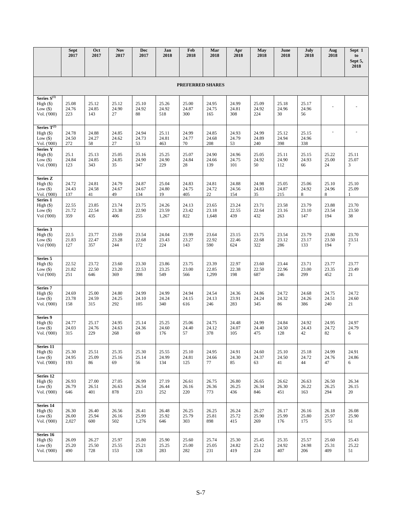|                                                              | <b>Sept</b><br>2017     | Oct<br>2017           | <b>Nov</b><br>2017    | <b>Dec</b><br>2017      | Jan<br>2018             | Feb<br>2018           | Mar<br>2018             | Apr<br>2018           | May<br>2018           | June<br>2018          | July<br>2018          | Aug<br>2018           | Sept 1<br>to<br>Sept 5,<br>2018 |
|--------------------------------------------------------------|-------------------------|-----------------------|-----------------------|-------------------------|-------------------------|-----------------------|-------------------------|-----------------------|-----------------------|-----------------------|-----------------------|-----------------------|---------------------------------|
| <b>PREFERRED SHARES</b>                                      |                         |                       |                       |                         |                         |                       |                         |                       |                       |                       |                       |                       |                                 |
| Series $S^{(1)}$<br>$High (\$)$<br>Low $(\$)$<br>Vol. ('000) | 25.08<br>24.76<br>223   | 25.12<br>24.85<br>143 | 25.12<br>24.90<br>27  | 25.10<br>24.92<br>88    | 25.26<br>24.92<br>518   | 25.00<br>24.87<br>300 | 24.95<br>24.75<br>165   | 24.99<br>24.81<br>308 | 25.09<br>24.92<br>224 | 25.18<br>24.96<br>30  | 25.17<br>24.96<br>56  |                       |                                 |
| Series $T^{(2)}$<br>$High (\$)$<br>Low $(\$)$<br>Vol. ('000) | 24.78<br>24.50<br>272   | 24.88<br>24.27<br>58  | 24.85<br>24.62<br>27  | 24.94<br>24.73<br>53    | 25.11<br>24.81<br>463   | 24.99<br>24.77<br>70  | 24.85<br>24.68<br>208   | 24.93<br>24.79<br>53  | 24.99<br>24.89<br>240 | 25.12<br>24.94<br>398 | 25.15<br>24.96<br>338 |                       |                                 |
| <b>Series Y</b><br>High (\$)<br>Low $(\$)$<br>Vol. ('000)    | 25.1<br>24.84<br>123    | 25.13<br>24.85<br>343 | 25.05<br>24.85<br>35  | 25.16<br>24.90<br>347   | 25.25<br>24.90<br>229   | 25.07<br>24.84<br>28  | 24.90<br>24.66<br>139   | 24.96<br>24.75<br>101 | 25.05<br>24.92<br>50  | 25.11<br>24.90<br>112 | 25.15<br>24.93<br>66  | 25.22<br>25.00<br>24  | 25.11<br>25.07<br>3             |
| <b>Series Z</b><br>High (\$)<br>Low $(\$)$<br>Vol. ('000)    | 24.72<br>24.43<br>137   | 24.81<br>24.58<br>41  | 24.79<br>24.67<br>49  | 24.87<br>24.67<br>134   | 25.04<br>24.80<br>19    | 24.83<br>24.75<br>405 | 24.81<br>24.72<br>22    | 24.88<br>24.56<br>154 | 24.98<br>24.83<br>35  | 25.05<br>24.87<br>215 | 25.06<br>24.92<br>8   | 25.10<br>24.96<br>8   | 25.10<br>25.09<br>1             |
| Series 1<br>High (\$)<br>Low $(\$)$<br>Vol ('000)            | 22.55<br>21.72<br>359   | 23.85<br>22.54<br>435 | 23.74<br>23.38<br>406 | 23.75<br>22.90<br>255   | 24.26<br>23.59<br>1,267 | 24.13<br>23.42<br>822 | 23.65<br>23.18<br>1,648 | 23.24<br>22.55<br>439 | 23.71<br>22.64<br>432 | 23.58<br>23.16<br>263 | 23.79<br>23.10<br>147 | 23.88<br>23.54<br>194 | 23.70<br>23.50<br>38            |
| Series 3<br>High (\$)<br>Low $(\$)$<br>Vol ('000)            | 22.5<br>21.83<br>127    | 23.77<br>22.47<br>357 | 23.69<br>23.28<br>244 | 23.54<br>22.68<br>172   | 24.04<br>23.43<br>224   | 23.99<br>23.27<br>143 | 23.64<br>22.92<br>590   | 23.15<br>22.46<br>624 | 23.75<br>22.68<br>322 | 23.54<br>23.12<br>286 | 23.79<br>23.17<br>133 | 23.80<br>23.50<br>194 | 23.70<br>23.51<br>7             |
| Series 5<br>High (\$)<br>Low $(\$)$<br>Vol ('000)            | 22.52<br>21.82<br>251   | 23.72<br>22.50<br>646 | 23.60<br>23.20<br>369 | 23.30<br>22.53<br>398   | 23.86<br>23.25<br>549   | 23.75<br>23.00<br>566 | 23.39<br>22.85<br>1,299 | 22.97<br>22.38<br>198 | 23.60<br>22.50<br>687 | 23.44<br>22.96<br>246 | 23.71<br>23.00<br>299 | 23.77<br>23.35<br>452 | 23.77<br>23.49<br>21            |
| Series 7<br>High (\$)<br>Low $(\$)$<br>Vol. ('000)           | 24.69<br>23.78<br>158   | 25.00<br>24.59<br>315 | 24.80<br>24.25<br>292 | 24.99<br>24.10<br>105   | 24.99<br>24.24<br>340   | 24.94<br>24.15<br>616 | 24.54<br>24.13<br>246   | 24.36<br>23.91<br>283 | 24.86<br>24.24<br>345 | 24.72<br>24.32<br>86  | 24.68<br>24.26<br>386 | 24.75<br>24.51<br>240 | 24.72<br>24.60<br>21            |
| Series 9<br>High (\$)<br>Low $(\$)$<br>Vol. ('000)           | 24.77<br>24.03<br>315   | 25.17<br>24.76<br>229 | 24.95<br>24.63<br>268 | 25.14<br>24.36<br>69    | 25.25<br>24.60<br>176   | 25.06<br>24.40<br>57  | 24.75<br>24.12<br>378   | 24.48<br>24.07<br>105 | 24.99<br>24.40<br>475 | 24.84<br>24.50<br>128 | 24.92<br>24.43<br>42  | 24.95<br>24.72<br>82  | 24.97<br>24.79<br>6             |
| Series 11<br>High (\$)<br>Low $(\$)$<br>Vol. ('000)          | 25.30<br>24.95<br>193   | 25.51<br>25.09<br>86  | 25.35<br>25.16<br>69  | 25.30<br>25.14<br>56    | 25.55<br>24.99<br>134   | 25.10<br>24.81<br>125 | 24.95<br>24.66<br>77    | 24.91<br>24.30<br>85  | 24.60<br>24.37<br>63  | 25.10<br>24.50<br>41  | 25.18<br>24.72<br>44  | 24.99<br>24.76<br>47  | 24.91<br>24.86<br>6             |
| Series 12<br>High(S)<br>Low $(\$)$<br>Vol. ('000)            | 26.93<br>26.79<br>646   | 27.00<br>26.51<br>401 | 27.05<br>26.63<br>878 | 26.99<br>26.54<br>233   | 27.19<br>26.44<br>252   | 26.61<br>26.16<br>220 | 26.75<br>26.36<br>773   | 26.80<br>26.25<br>436 | 26.65<br>26.34<br>846 | 26.62<br>26.30<br>451 | 26.63<br>26.22<br>163 | 26.50<br>26.25<br>294 | 26.34<br>26.15<br>20            |
| Series 14<br>High(S)<br>Low $(\$)$<br>Vol. ('000)            | 26.30<br>26.00<br>2,027 | 26.40<br>25.94<br>600 | 26.56<br>26.16<br>502 | 26.41<br>25.99<br>1,276 | 26.48<br>25.92<br>646   | 26.25<br>25.79<br>303 | 26.25<br>25.81<br>898   | 26.24<br>25.72<br>415 | 26.27<br>25.90<br>269 | 26.17<br>25.99<br>176 | 26.16<br>25.80<br>175 | 26.18<br>25.97<br>575 | 26.08<br>25.90<br>51            |
| Series 16<br>High (\$)<br>Low $(\$)$<br>Vol. ('000)          | 26.09<br>25.20<br>490   | 26.27<br>25.50<br>728 | 25.97<br>25.55<br>153 | 25.80<br>25.21<br>128   | 25.90<br>25.25<br>283   | 25.60<br>25.00<br>282 | 25.74<br>25.05<br>231   | 25.30<br>24.82<br>419 | 25.45<br>25.12<br>224 | 25.35<br>24.92<br>407 | 25.57<br>24.98<br>206 | 25.60<br>25.31<br>409 | 25.43<br>25.22<br>51            |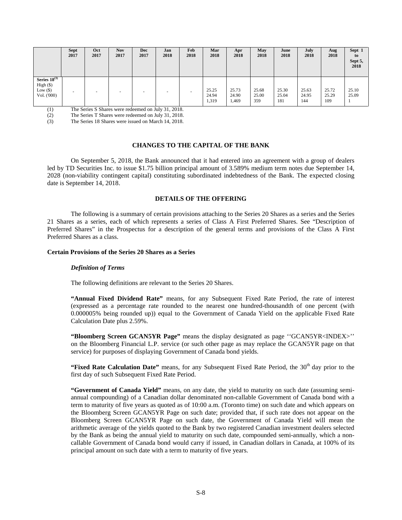|                                                             | <b>Sept</b><br>2017 | Oct<br>2017 | <b>Nov</b><br>2017 | Dec<br>2017 | Jan<br>2018 | Feb<br>2018 | Mar<br>2018             | Apr<br>2018             | May<br>2018           | June<br>2018          | July<br>2018          | Aug<br>2018           | Sept 1<br>to<br>Sept 5,<br>2018 |
|-------------------------------------------------------------|---------------------|-------------|--------------------|-------------|-------------|-------------|-------------------------|-------------------------|-----------------------|-----------------------|-----------------------|-----------------------|---------------------------------|
| Series $18^{(3)}$<br>High (\$)<br>Low $(\$)$<br>Vol. ('000) |                     |             |                    | -           |             |             | 25.25<br>24.94<br>1,319 | 25.73<br>24.90<br>1,469 | 25.68<br>25.00<br>359 | 25.30<br>25.04<br>181 | 25.63<br>24.95<br>144 | 25.72<br>25.29<br>109 | 25.10<br>25.09                  |

(1) The Series S Shares were redeemed on July 31, 2018.

(2) The Series T Shares were redeemed on July 31, 2018.

(3) The Series 18 Shares were issued on March 14, 2018.

### **CHANGES TO THE CAPITAL OF THE BANK**

On September 5, 2018, the Bank announced that it had entered into an agreement with a group of dealers led by TD Securities Inc. to issue \$1.75 billion principal amount of 3.589% medium term notes due September 14, 2028 (non-viability contingent capital) constituting subordinated indebtedness of the Bank. The expected closing date is September 14, 2018.

# **DETAILS OF THE OFFERING**

The following is a summary of certain provisions attaching to the Series 20 Shares as a series and the Series 21 Shares as a series, each of which represents a series of Class A First Preferred Shares. See "Description of Preferred Shares" in the Prospectus for a description of the general terms and provisions of the Class A First Preferred Shares as a class.

### **Certain Provisions of the Series 20 Shares as a Series**

### *Definition of Terms*

The following definitions are relevant to the Series 20 Shares.

**"Annual Fixed Dividend Rate"** means, for any Subsequent Fixed Rate Period, the rate of interest (expressed as a percentage rate rounded to the nearest one hundred-thousandth of one percent (with 0.000005% being rounded up)) equal to the Government of Canada Yield on the applicable Fixed Rate Calculation Date plus 2.59%.

**"Bloomberg Screen GCAN5YR Page"** means the display designated as page ''GCAN5YR<INDEX>'' on the Bloomberg Financial L.P. service (or such other page as may replace the GCAN5YR page on that service) for purposes of displaying Government of Canada bond yields.

**"Fixed Rate Calculation Date"** means, for any Subsequent Fixed Rate Period, the 30<sup>th</sup> day prior to the first day of such Subsequent Fixed Rate Period.

**"Government of Canada Yield"** means, on any date, the yield to maturity on such date (assuming semiannual compounding) of a Canadian dollar denominated non-callable Government of Canada bond with a term to maturity of five years as quoted as of 10:00 a.m. (Toronto time) on such date and which appears on the Bloomberg Screen GCAN5YR Page on such date; provided that, if such rate does not appear on the Bloomberg Screen GCAN5YR Page on such date, the Government of Canada Yield will mean the arithmetic average of the yields quoted to the Bank by two registered Canadian investment dealers selected by the Bank as being the annual yield to maturity on such date, compounded semi-annually, which a noncallable Government of Canada bond would carry if issued, in Canadian dollars in Canada, at 100% of its principal amount on such date with a term to maturity of five years.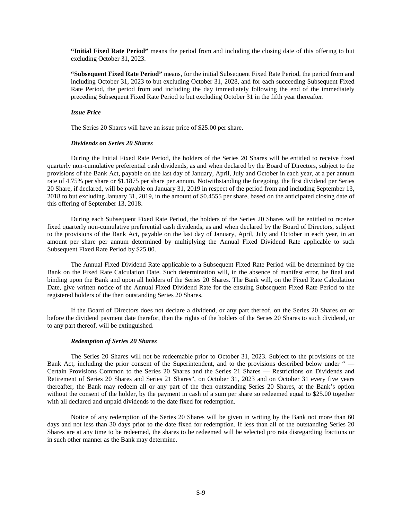**"Initial Fixed Rate Period"** means the period from and including the closing date of this offering to but excluding October 31, 2023.

**"Subsequent Fixed Rate Period"** means, for the initial Subsequent Fixed Rate Period, the period from and including October 31, 2023 to but excluding October 31, 2028, and for each succeeding Subsequent Fixed Rate Period, the period from and including the day immediately following the end of the immediately preceding Subsequent Fixed Rate Period to but excluding October 31 in the fifth year thereafter.

### *Issue Price*

The Series 20 Shares will have an issue price of \$25.00 per share.

### *Dividends on Series 20 Shares*

During the Initial Fixed Rate Period, the holders of the Series 20 Shares will be entitled to receive fixed quarterly non-cumulative preferential cash dividends, as and when declared by the Board of Directors, subject to the provisions of the Bank Act, payable on the last day of January, April, July and October in each year, at a per annum rate of 4.75% per share or \$1.1875 per share per annum. Notwithstanding the foregoing, the first dividend per Series 20 Share, if declared, will be payable on January 31, 2019 in respect of the period from and including September 13, 2018 to but excluding January 31, 2019, in the amount of \$0.4555 per share, based on the anticipated closing date of this offering of September 13, 2018.

During each Subsequent Fixed Rate Period, the holders of the Series 20 Shares will be entitled to receive fixed quarterly non-cumulative preferential cash dividends, as and when declared by the Board of Directors, subject to the provisions of the Bank Act, payable on the last day of January, April, July and October in each year, in an amount per share per annum determined by multiplying the Annual Fixed Dividend Rate applicable to such Subsequent Fixed Rate Period by \$25.00.

The Annual Fixed Dividend Rate applicable to a Subsequent Fixed Rate Period will be determined by the Bank on the Fixed Rate Calculation Date. Such determination will, in the absence of manifest error, be final and binding upon the Bank and upon all holders of the Series 20 Shares. The Bank will, on the Fixed Rate Calculation Date, give written notice of the Annual Fixed Dividend Rate for the ensuing Subsequent Fixed Rate Period to the registered holders of the then outstanding Series 20 Shares.

If the Board of Directors does not declare a dividend, or any part thereof, on the Series 20 Shares on or before the dividend payment date therefor, then the rights of the holders of the Series 20 Shares to such dividend, or to any part thereof, will be extinguished.

### *Redemption of Series 20 Shares*

The Series 20 Shares will not be redeemable prior to October 31, 2023. Subject to the provisions of the Bank Act, including the prior consent of the Superintendent, and to the provisions described below under " — Certain Provisions Common to the Series 20 Shares and the Series 21 Shares — Restrictions on Dividends and Retirement of Series 20 Shares and Series 21 Shares", on October 31, 2023 and on October 31 every five years thereafter, the Bank may redeem all or any part of the then outstanding Series 20 Shares, at the Bank's option without the consent of the holder, by the payment in cash of a sum per share so redeemed equal to \$25.00 together with all declared and unpaid dividends to the date fixed for redemption.

Notice of any redemption of the Series 20 Shares will be given in writing by the Bank not more than 60 days and not less than 30 days prior to the date fixed for redemption. If less than all of the outstanding Series 20 Shares are at any time to be redeemed, the shares to be redeemed will be selected pro rata disregarding fractions or in such other manner as the Bank may determine.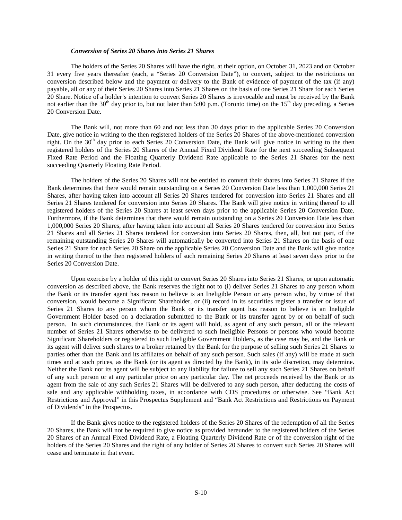### *Conversion of Series 20 Shares into Series 21 Shares*

The holders of the Series 20 Shares will have the right, at their option, on October 31, 2023 and on October 31 every five years thereafter (each, a "Series 20 Conversion Date"), to convert, subject to the restrictions on conversion described below and the payment or delivery to the Bank of evidence of payment of the tax (if any) payable, all or any of their Series 20 Shares into Series 21 Shares on the basis of one Series 21 Share for each Series 20 Share. Notice of a holder's intention to convert Series 20 Shares is irrevocable and must be received by the Bank not earlier than the 30<sup>th</sup> day prior to, but not later than 5:00 p.m. (Toronto time) on the 15<sup>th</sup> day preceding, a Series 20 Conversion Date.

The Bank will, not more than 60 and not less than 30 days prior to the applicable Series 20 Conversion Date, give notice in writing to the then registered holders of the Series 20 Shares of the above-mentioned conversion right. On the  $30<sup>th</sup>$  day prior to each Series 20 Conversion Date, the Bank will give notice in writing to the then registered holders of the Series 20 Shares of the Annual Fixed Dividend Rate for the next succeeding Subsequent Fixed Rate Period and the Floating Quarterly Dividend Rate applicable to the Series 21 Shares for the next succeeding Quarterly Floating Rate Period.

The holders of the Series 20 Shares will not be entitled to convert their shares into Series 21 Shares if the Bank determines that there would remain outstanding on a Series 20 Conversion Date less than 1,000,000 Series 21 Shares, after having taken into account all Series 20 Shares tendered for conversion into Series 21 Shares and all Series 21 Shares tendered for conversion into Series 20 Shares. The Bank will give notice in writing thereof to all registered holders of the Series 20 Shares at least seven days prior to the applicable Series 20 Conversion Date. Furthermore, if the Bank determines that there would remain outstanding on a Series 20 Conversion Date less than 1,000,000 Series 20 Shares, after having taken into account all Series 20 Shares tendered for conversion into Series 21 Shares and all Series 21 Shares tendered for conversion into Series 20 Shares, then, all, but not part, of the remaining outstanding Series 20 Shares will automatically be converted into Series 21 Shares on the basis of one Series 21 Share for each Series 20 Share on the applicable Series 20 Conversion Date and the Bank will give notice in writing thereof to the then registered holders of such remaining Series 20 Shares at least seven days prior to the Series 20 Conversion Date.

Upon exercise by a holder of this right to convert Series 20 Shares into Series 21 Shares, or upon automatic conversion as described above, the Bank reserves the right not to (i) deliver Series 21 Shares to any person whom the Bank or its transfer agent has reason to believe is an Ineligible Person or any person who, by virtue of that conversion, would become a Significant Shareholder, or (ii) record in its securities register a transfer or issue of Series 21 Shares to any person whom the Bank or its transfer agent has reason to believe is an Ineligible Government Holder based on a declaration submitted to the Bank or its transfer agent by or on behalf of such person. In such circumstances, the Bank or its agent will hold, as agent of any such person, all or the relevant number of Series 21 Shares otherwise to be delivered to such Ineligible Persons or persons who would become Significant Shareholders or registered to such Ineligible Government Holders, as the case may be, and the Bank or its agent will deliver such shares to a broker retained by the Bank for the purpose of selling such Series 21 Shares to parties other than the Bank and its affiliates on behalf of any such person. Such sales (if any) will be made at such times and at such prices, as the Bank (or its agent as directed by the Bank), in its sole discretion, may determine. Neither the Bank nor its agent will be subject to any liability for failure to sell any such Series 21 Shares on behalf of any such person or at any particular price on any particular day. The net proceeds received by the Bank or its agent from the sale of any such Series 21 Shares will be delivered to any such person, after deducting the costs of sale and any applicable withholding taxes, in accordance with CDS procedures or otherwise. See "Bank Act Restrictions and Approval" in this Prospectus Supplement and "Bank Act Restrictions and Restrictions on Payment of Dividends" in the Prospectus.

If the Bank gives notice to the registered holders of the Series 20 Shares of the redemption of all the Series 20 Shares, the Bank will not be required to give notice as provided hereunder to the registered holders of the Series 20 Shares of an Annual Fixed Dividend Rate, a Floating Quarterly Dividend Rate or of the conversion right of the holders of the Series 20 Shares and the right of any holder of Series 20 Shares to convert such Series 20 Shares will cease and terminate in that event.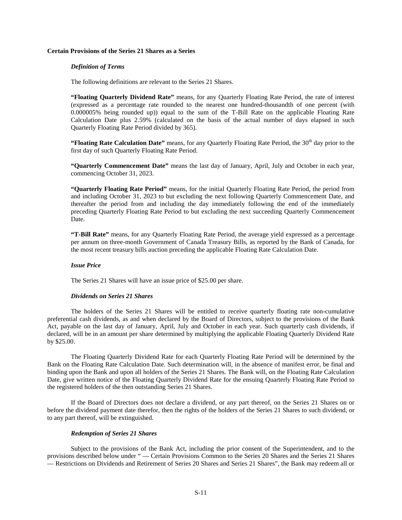### **Certain Provisions of the Series 21 Shares as a Series**

#### *Definition of Terms*

The following definitions are relevant to the Series 21 Shares.

**"Floating Quarterly Dividend Rate"** means, for any Quarterly Floating Rate Period, the rate of interest (expressed as a percentage rate rounded to the nearest one hundred-thousandth of one percent (with 0.000005% being rounded up)) equal to the sum of the T-Bill Rate on the applicable Floating Rate Calculation Date plus 2.59% (calculated on the basis of the actual number of days elapsed in such Quarterly Floating Rate Period divided by 365).

**"Floating Rate Calculation Date"** means, for any Quarterly Floating Rate Period, the 30<sup>th</sup> day prior to the first day of such Quarterly Floating Rate Period.

**"Quarterly Commencement Date"** means the last day of January, April, July and October in each year, commencing October 31, 2023.

**"Quarterly Floating Rate Period"** means, for the initial Quarterly Floating Rate Period, the period from and including October 31, 2023 to but excluding the next following Quarterly Commencement Date, and thereafter the period from and including the day immediately following the end of the immediately preceding Quarterly Floating Rate Period to but excluding the next succeeding Quarterly Commencement Date.

**"T-Bill Rate"** means, for any Quarterly Floating Rate Period, the average yield expressed as a percentage per annum on three-month Government of Canada Treasury Bills, as reported by the Bank of Canada, for the most recent treasury bills auction preceding the applicable Floating Rate Calculation Date.

### *Issue Price*

The Series 21 Shares will have an issue price of \$25.00 per share.

#### *Dividends on Series 21 Shares*

The holders of the Series 21 Shares will be entitled to receive quarterly floating rate non-cumulative preferential cash dividends, as and when declared by the Board of Directors, subject to the provisions of the Bank Act, payable on the last day of January, April, July and October in each year. Such quarterly cash dividends, if declared, will be in an amount per share determined by multiplying the applicable Floating Quarterly Dividend Rate by \$25.00.

The Floating Quarterly Dividend Rate for each Quarterly Floating Rate Period will be determined by the Bank on the Floating Rate Calculation Date. Such determination will, in the absence of manifest error, be final and binding upon the Bank and upon all holders of the Series 21 Shares. The Bank will, on the Floating Rate Calculation Date, give written notice of the Floating Quarterly Dividend Rate for the ensuing Quarterly Floating Rate Period to the registered holders of the then outstanding Series 21 Shares.

If the Board of Directors does not declare a dividend, or any part thereof, on the Series 21 Shares on or before the dividend payment date therefor, then the rights of the holders of the Series 21 Shares to such dividend, or to any part thereof, will be extinguished.

#### *Redemption of Series 21 Shares*

Subject to the provisions of the Bank Act, including the prior consent of the Superintendent, and to the provisions described below under " — Certain Provisions Common to the Series 20 Shares and the Series 21 Shares — Restrictions on Dividends and Retirement of Series 20 Shares and Series 21 Shares", the Bank may redeem all or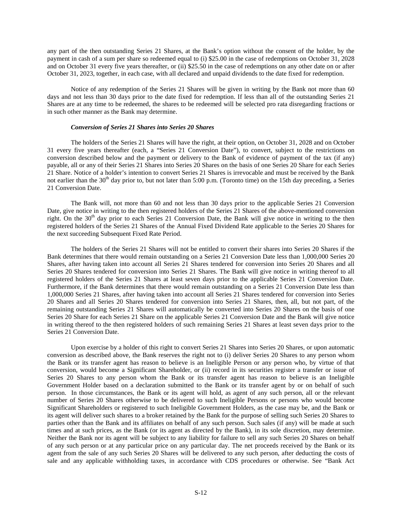any part of the then outstanding Series 21 Shares, at the Bank's option without the consent of the holder, by the payment in cash of a sum per share so redeemed equal to (i) \$25.00 in the case of redemptions on October 31, 2028 and on October 31 every five years thereafter, or (ii) \$25.50 in the case of redemptions on any other date on or after October 31, 2023, together, in each case, with all declared and unpaid dividends to the date fixed for redemption.

Notice of any redemption of the Series 21 Shares will be given in writing by the Bank not more than 60 days and not less than 30 days prior to the date fixed for redemption. If less than all of the outstanding Series 21 Shares are at any time to be redeemed, the shares to be redeemed will be selected pro rata disregarding fractions or in such other manner as the Bank may determine.

### *Conversion of Series 21 Shares into Series 20 Shares*

The holders of the Series 21 Shares will have the right, at their option, on October 31, 2028 and on October 31 every five years thereafter (each, a "Series 21 Conversion Date"), to convert, subject to the restrictions on conversion described below and the payment or delivery to the Bank of evidence of payment of the tax (if any) payable, all or any of their Series 21 Shares into Series 20 Shares on the basis of one Series 20 Share for each Series 21 Share. Notice of a holder's intention to convert Series 21 Shares is irrevocable and must be received by the Bank not earlier than the  $30<sup>th</sup>$  day prior to, but not later than 5:00 p.m. (Toronto time) on the 15th day preceding, a Series 21 Conversion Date.

The Bank will, not more than 60 and not less than 30 days prior to the applicable Series 21 Conversion Date, give notice in writing to the then registered holders of the Series 21 Shares of the above-mentioned conversion right. On the  $30<sup>th</sup>$  day prior to each Series 21 Conversion Date, the Bank will give notice in writing to the then registered holders of the Series 21 Shares of the Annual Fixed Dividend Rate applicable to the Series 20 Shares for the next succeeding Subsequent Fixed Rate Period.

The holders of the Series 21 Shares will not be entitled to convert their shares into Series 20 Shares if the Bank determines that there would remain outstanding on a Series 21 Conversion Date less than 1,000,000 Series 20 Shares, after having taken into account all Series 21 Shares tendered for conversion into Series 20 Shares and all Series 20 Shares tendered for conversion into Series 21 Shares. The Bank will give notice in writing thereof to all registered holders of the Series 21 Shares at least seven days prior to the applicable Series 21 Conversion Date. Furthermore, if the Bank determines that there would remain outstanding on a Series 21 Conversion Date less than 1,000,000 Series 21 Shares, after having taken into account all Series 21 Shares tendered for conversion into Series 20 Shares and all Series 20 Shares tendered for conversion into Series 21 Shares, then, all, but not part, of the remaining outstanding Series 21 Shares will automatically be converted into Series 20 Shares on the basis of one Series 20 Share for each Series 21 Share on the applicable Series 21 Conversion Date and the Bank will give notice in writing thereof to the then registered holders of such remaining Series 21 Shares at least seven days prior to the Series 21 Conversion Date.

Upon exercise by a holder of this right to convert Series 21 Shares into Series 20 Shares, or upon automatic conversion as described above, the Bank reserves the right not to (i) deliver Series 20 Shares to any person whom the Bank or its transfer agent has reason to believe is an Ineligible Person or any person who, by virtue of that conversion, would become a Significant Shareholder, or (ii) record in its securities register a transfer or issue of Series 20 Shares to any person whom the Bank or its transfer agent has reason to believe is an Ineligible Government Holder based on a declaration submitted to the Bank or its transfer agent by or on behalf of such person. In those circumstances, the Bank or its agent will hold, as agent of any such person, all or the relevant number of Series 20 Shares otherwise to be delivered to such Ineligible Persons or persons who would become Significant Shareholders or registered to such Ineligible Government Holders, as the case may be, and the Bank or its agent will deliver such shares to a broker retained by the Bank for the purpose of selling such Series 20 Shares to parties other than the Bank and its affiliates on behalf of any such person. Such sales (if any) will be made at such times and at such prices, as the Bank (or its agent as directed by the Bank), in its sole discretion, may determine. Neither the Bank nor its agent will be subject to any liability for failure to sell any such Series 20 Shares on behalf of any such person or at any particular price on any particular day. The net proceeds received by the Bank or its agent from the sale of any such Series 20 Shares will be delivered to any such person, after deducting the costs of sale and any applicable withholding taxes, in accordance with CDS procedures or otherwise. See "Bank Act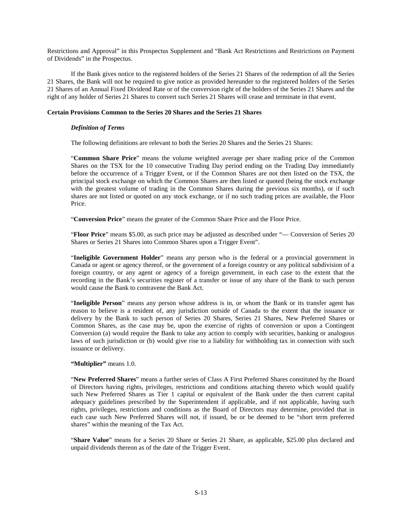Restrictions and Approval" in this Prospectus Supplement and "Bank Act Restrictions and Restrictions on Payment of Dividends" in the Prospectus.

If the Bank gives notice to the registered holders of the Series 21 Shares of the redemption of all the Series 21 Shares, the Bank will not be required to give notice as provided hereunder to the registered holders of the Series 21 Shares of an Annual Fixed Dividend Rate or of the conversion right of the holders of the Series 21 Shares and the right of any holder of Series 21 Shares to convert such Series 21 Shares will cease and terminate in that event.

# **Certain Provisions Common to the Series 20 Shares and the Series 21 Shares**

# *Definition of Terms*

The following definitions are relevant to both the Series 20 Shares and the Series 21 Shares:

"**Common Share Price**" means the volume weighted average per share trading price of the Common Shares on the TSX for the 10 consecutive Trading Day period ending on the Trading Day immediately before the occurrence of a Trigger Event, or if the Common Shares are not then listed on the TSX, the principal stock exchange on which the Common Shares are then listed or quoted (being the stock exchange with the greatest volume of trading in the Common Shares during the previous six months), or if such shares are not listed or quoted on any stock exchange, or if no such trading prices are available, the Floor Price.

"**Conversion Price**" means the greater of the Common Share Price and the Floor Price.

"**Floor Price**" means \$5.00, as such price may be adjusted as described under "— Conversion of Series 20 Shares or Series 21 Shares into Common Shares upon a Trigger Event".

"**Ineligible Government Holder**" means any person who is the federal or a provincial government in Canada or agent or agency thereof, or the government of a foreign country or any political subdivision of a foreign country, or any agent or agency of a foreign government, in each case to the extent that the recording in the Bank's securities register of a transfer or issue of any share of the Bank to such person would cause the Bank to contravene the Bank Act.

"**Ineligible Person**" means any person whose address is in, or whom the Bank or its transfer agent has reason to believe is a resident of, any jurisdiction outside of Canada to the extent that the issuance or delivery by the Bank to such person of Series 20 Shares, Series 21 Shares, New Preferred Shares or Common Shares, as the case may be, upon the exercise of rights of conversion or upon a Contingent Conversion (a) would require the Bank to take any action to comply with securities, banking or analogous laws of such jurisdiction or (b) would give rise to a liability for withholding tax in connection with such issuance or delivery.

### **"Multiplier"** means 1.0.

"**New Preferred Shares**" means a further series of Class A First Preferred Shares constituted by the Board of Directors having rights, privileges, restrictions and conditions attaching thereto which would qualify such New Preferred Shares as Tier 1 capital or equivalent of the Bank under the then current capital adequacy guidelines prescribed by the Superintendent if applicable, and if not applicable, having such rights, privileges, restrictions and conditions as the Board of Directors may determine, provided that in each case such New Preferred Shares will not, if issued, be or be deemed to be "short term preferred shares" within the meaning of the Tax Act.

"**Share Value**" means for a Series 20 Share or Series 21 Share, as applicable, \$25.00 plus declared and unpaid dividends thereon as of the date of the Trigger Event.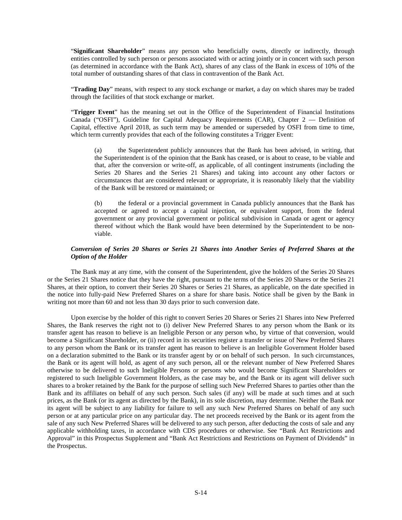"**Significant Shareholder**" means any person who beneficially owns, directly or indirectly, through entities controlled by such person or persons associated with or acting jointly or in concert with such person (as determined in accordance with the Bank Act), shares of any class of the Bank in excess of 10% of the total number of outstanding shares of that class in contravention of the Bank Act.

"**Trading Day**" means, with respect to any stock exchange or market, a day on which shares may be traded through the facilities of that stock exchange or market.

"**Trigger Event**" has the meaning set out in the Office of the Superintendent of Financial Institutions Canada ("OSFI"), Guideline for Capital Adequacy Requirements (CAR), Chapter 2 — Definition of Capital, effective April 2018, as such term may be amended or superseded by OSFI from time to time, which term currently provides that each of the following constitutes a Trigger Event:

(a) the Superintendent publicly announces that the Bank has been advised, in writing, that the Superintendent is of the opinion that the Bank has ceased, or is about to cease, to be viable and that, after the conversion or write-off, as applicable, of all contingent instruments (including the Series 20 Shares and the Series 21 Shares) and taking into account any other factors or circumstances that are considered relevant or appropriate, it is reasonably likely that the viability of the Bank will be restored or maintained; or

(b) the federal or a provincial government in Canada publicly announces that the Bank has accepted or agreed to accept a capital injection, or equivalent support, from the federal government or any provincial government or political subdivision in Canada or agent or agency thereof without which the Bank would have been determined by the Superintendent to be nonviable.

# *Conversion of Series 20 Shares or Series 21 Shares into Another Series of Preferred Shares at the Option of the Holder*

The Bank may at any time, with the consent of the Superintendent, give the holders of the Series 20 Shares or the Series 21 Shares notice that they have the right, pursuant to the terms of the Series 20 Shares or the Series 21 Shares, at their option, to convert their Series 20 Shares or Series 21 Shares, as applicable, on the date specified in the notice into fully-paid New Preferred Shares on a share for share basis. Notice shall be given by the Bank in writing not more than 60 and not less than 30 days prior to such conversion date.

Upon exercise by the holder of this right to convert Series 20 Shares or Series 21 Shares into New Preferred Shares, the Bank reserves the right not to (i) deliver New Preferred Shares to any person whom the Bank or its transfer agent has reason to believe is an Ineligible Person or any person who, by virtue of that conversion, would become a Significant Shareholder, or (ii) record in its securities register a transfer or issue of New Preferred Shares to any person whom the Bank or its transfer agent has reason to believe is an Ineligible Government Holder based on a declaration submitted to the Bank or its transfer agent by or on behalf of such person. In such circumstances, the Bank or its agent will hold, as agent of any such person, all or the relevant number of New Preferred Shares otherwise to be delivered to such Ineligible Persons or persons who would become Significant Shareholders or registered to such Ineligible Government Holders, as the case may be, and the Bank or its agent will deliver such shares to a broker retained by the Bank for the purpose of selling such New Preferred Shares to parties other than the Bank and its affiliates on behalf of any such person. Such sales (if any) will be made at such times and at such prices, as the Bank (or its agent as directed by the Bank), in its sole discretion, may determine. Neither the Bank nor its agent will be subject to any liability for failure to sell any such New Preferred Shares on behalf of any such person or at any particular price on any particular day. The net proceeds received by the Bank or its agent from the sale of any such New Preferred Shares will be delivered to any such person, after deducting the costs of sale and any applicable withholding taxes, in accordance with CDS procedures or otherwise. See "Bank Act Restrictions and Approval" in this Prospectus Supplement and "Bank Act Restrictions and Restrictions on Payment of Dividends" in the Prospectus.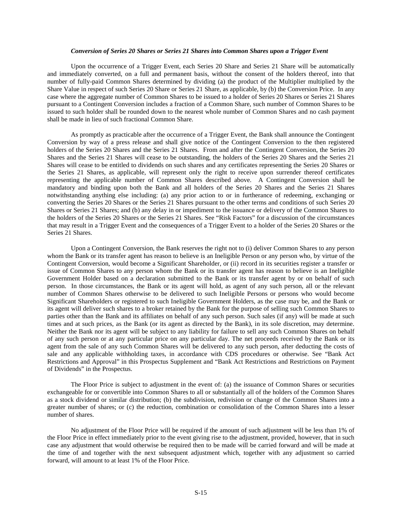### *Conversion of Series 20 Shares or Series 21 Shares into Common Shares upon a Trigger Event*

Upon the occurrence of a Trigger Event, each Series 20 Share and Series 21 Share will be automatically and immediately converted, on a full and permanent basis, without the consent of the holders thereof, into that number of fully-paid Common Shares determined by dividing (a) the product of the Multiplier multiplied by the Share Value in respect of such Series 20 Share or Series 21 Share, as applicable, by (b) the Conversion Price. In any case where the aggregate number of Common Shares to be issued to a holder of Series 20 Shares or Series 21 Shares pursuant to a Contingent Conversion includes a fraction of a Common Share, such number of Common Shares to be issued to such holder shall be rounded down to the nearest whole number of Common Shares and no cash payment shall be made in lieu of such fractional Common Share.

As promptly as practicable after the occurrence of a Trigger Event, the Bank shall announce the Contingent Conversion by way of a press release and shall give notice of the Contingent Conversion to the then registered holders of the Series 20 Shares and the Series 21 Shares. From and after the Contingent Conversion, the Series 20 Shares and the Series 21 Shares will cease to be outstanding, the holders of the Series 20 Shares and the Series 21 Shares will cease to be entitled to dividends on such shares and any certificates representing the Series 20 Shares or the Series 21 Shares, as applicable, will represent only the right to receive upon surrender thereof certificates representing the applicable number of Common Shares described above. A Contingent Conversion shall be mandatory and binding upon both the Bank and all holders of the Series 20 Shares and the Series 21 Shares notwithstanding anything else including: (a) any prior action to or in furtherance of redeeming, exchanging or converting the Series 20 Shares or the Series 21 Shares pursuant to the other terms and conditions of such Series 20 Shares or Series 21 Shares; and (b) any delay in or impediment to the issuance or delivery of the Common Shares to the holders of the Series 20 Shares or the Series 21 Shares. See "Risk Factors" for a discussion of the circumstances that may result in a Trigger Event and the consequences of a Trigger Event to a holder of the Series 20 Shares or the Series 21 Shares.

Upon a Contingent Conversion, the Bank reserves the right not to (i) deliver Common Shares to any person whom the Bank or its transfer agent has reason to believe is an Ineligible Person or any person who, by virtue of the Contingent Conversion, would become a Significant Shareholder, or (ii) record in its securities register a transfer or issue of Common Shares to any person whom the Bank or its transfer agent has reason to believe is an Ineligible Government Holder based on a declaration submitted to the Bank or its transfer agent by or on behalf of such person. In those circumstances, the Bank or its agent will hold, as agent of any such person, all or the relevant number of Common Shares otherwise to be delivered to such Ineligible Persons or persons who would become Significant Shareholders or registered to such Ineligible Government Holders, as the case may be, and the Bank or its agent will deliver such shares to a broker retained by the Bank for the purpose of selling such Common Shares to parties other than the Bank and its affiliates on behalf of any such person. Such sales (if any) will be made at such times and at such prices, as the Bank (or its agent as directed by the Bank), in its sole discretion, may determine. Neither the Bank nor its agent will be subject to any liability for failure to sell any such Common Shares on behalf of any such person or at any particular price on any particular day. The net proceeds received by the Bank or its agent from the sale of any such Common Shares will be delivered to any such person, after deducting the costs of sale and any applicable withholding taxes, in accordance with CDS procedures or otherwise. See "Bank Act Restrictions and Approval" in this Prospectus Supplement and "Bank Act Restrictions and Restrictions on Payment of Dividends" in the Prospectus.

The Floor Price is subject to adjustment in the event of: (a) the issuance of Common Shares or securities exchangeable for or convertible into Common Shares to all or substantially all of the holders of the Common Shares as a stock dividend or similar distribution; (b) the subdivision, redivision or change of the Common Shares into a greater number of shares; or (c) the reduction, combination or consolidation of the Common Shares into a lesser number of shares.

No adjustment of the Floor Price will be required if the amount of such adjustment will be less than 1% of the Floor Price in effect immediately prior to the event giving rise to the adjustment, provided, however, that in such case any adjustment that would otherwise be required then to be made will be carried forward and will be made at the time of and together with the next subsequent adjustment which, together with any adjustment so carried forward, will amount to at least 1% of the Floor Price.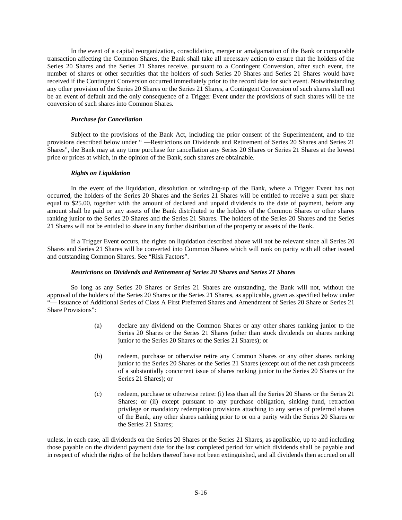In the event of a capital reorganization, consolidation, merger or amalgamation of the Bank or comparable transaction affecting the Common Shares, the Bank shall take all necessary action to ensure that the holders of the Series 20 Shares and the Series 21 Shares receive, pursuant to a Contingent Conversion, after such event, the number of shares or other securities that the holders of such Series 20 Shares and Series 21 Shares would have received if the Contingent Conversion occurred immediately prior to the record date for such event. Notwithstanding any other provision of the Series 20 Shares or the Series 21 Shares, a Contingent Conversion of such shares shall not be an event of default and the only consequence of a Trigger Event under the provisions of such shares will be the conversion of such shares into Common Shares.

# *Purchase for Cancellation*

Subject to the provisions of the Bank Act, including the prior consent of the Superintendent, and to the provisions described below under " —Restrictions on Dividends and Retirement of Series 20 Shares and Series 21 Shares", the Bank may at any time purchase for cancellation any Series 20 Shares or Series 21 Shares at the lowest price or prices at which, in the opinion of the Bank, such shares are obtainable.

# *Rights on Liquidation*

In the event of the liquidation, dissolution or winding-up of the Bank, where a Trigger Event has not occurred, the holders of the Series 20 Shares and the Series 21 Shares will be entitled to receive a sum per share equal to \$25.00, together with the amount of declared and unpaid dividends to the date of payment, before any amount shall be paid or any assets of the Bank distributed to the holders of the Common Shares or other shares ranking junior to the Series 20 Shares and the Series 21 Shares. The holders of the Series 20 Shares and the Series 21 Shares will not be entitled to share in any further distribution of the property or assets of the Bank.

If a Trigger Event occurs, the rights on liquidation described above will not be relevant since all Series 20 Shares and Series 21 Shares will be converted into Common Shares which will rank on parity with all other issued and outstanding Common Shares. See "Risk Factors".

# *Restrictions on Dividends and Retirement of Series 20 Shares and Series 21 Shares*

So long as any Series 20 Shares or Series 21 Shares are outstanding, the Bank will not, without the approval of the holders of the Series 20 Shares or the Series 21 Shares, as applicable, given as specified below under "— Issuance of Additional Series of Class A First Preferred Shares and Amendment of Series 20 Share or Series 21 Share Provisions":

- (a) declare any dividend on the Common Shares or any other shares ranking junior to the Series 20 Shares or the Series 21 Shares (other than stock dividends on shares ranking junior to the Series 20 Shares or the Series 21 Shares); or
- (b) redeem, purchase or otherwise retire any Common Shares or any other shares ranking junior to the Series 20 Shares or the Series 21 Shares (except out of the net cash proceeds of a substantially concurrent issue of shares ranking junior to the Series 20 Shares or the Series 21 Shares); or
- (c) redeem, purchase or otherwise retire: (i) less than all the Series 20 Shares or the Series 21 Shares; or (ii) except pursuant to any purchase obligation, sinking fund, retraction privilege or mandatory redemption provisions attaching to any series of preferred shares of the Bank, any other shares ranking prior to or on a parity with the Series 20 Shares or the Series 21 Shares;

unless, in each case, all dividends on the Series 20 Shares or the Series 21 Shares, as applicable, up to and including those payable on the dividend payment date for the last completed period for which dividends shall be payable and in respect of which the rights of the holders thereof have not been extinguished, and all dividends then accrued on all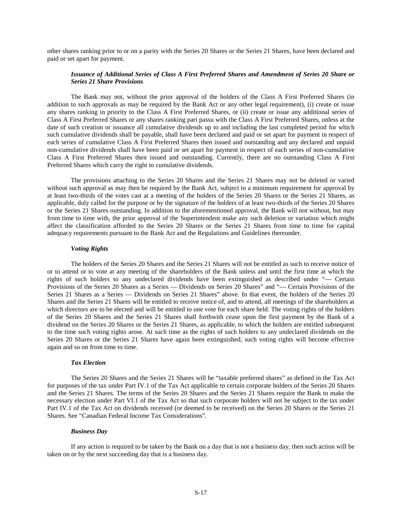other shares ranking prior to or on a parity with the Series 20 Shares or the Series 21 Shares, have been declared and paid or set apart for payment.

### *Issuance of Additional Series of Class A First Preferred Shares and Amendment of Series 20 Share or Series 21 Share Provisions*

The Bank may not, without the prior approval of the holders of the Class A First Preferred Shares (in addition to such approvals as may be required by the Bank Act or any other legal requirement), (i) create or issue any shares ranking in priority to the Class A First Preferred Shares, or (ii) create or issue any additional series of Class A First Preferred Shares or any shares ranking pari passu with the Class A First Preferred Shares, unless at the date of such creation or issuance all cumulative dividends up to and including the last completed period for which such cumulative dividends shall be payable, shall have been declared and paid or set apart for payment in respect of each series of cumulative Class A First Preferred Shares then issued and outstanding and any declared and unpaid non-cumulative dividends shall have been paid or set apart for payment in respect of each series of non-cumulative Class A First Preferred Shares then issued and outstanding. Currently, there are no outstanding Class A First Preferred Shares which carry the right to cumulative dividends.

The provisions attaching to the Series 20 Shares and the Series 21 Shares may not be deleted or varied without such approval as may then be required by the Bank Act, subject to a minimum requirement for approval by at least two-thirds of the votes cast at a meeting of the holders of the Series 20 Shares or the Series 21 Shares, as applicable, duly called for the purpose or by the signature of the holders of at least two-thirds of the Series 20 Shares or the Series 21 Shares outstanding. In addition to the aforementioned approval, the Bank will not without, but may from time to time with, the prior approval of the Superintendent make any such deletion or variation which might affect the classification afforded to the Series 20 Shares or the Series 21 Shares from time to time for capital adequacy requirements pursuant to the Bank Act and the Regulations and Guidelines thereunder.

### *Voting Rights*

The holders of the Series 20 Shares and the Series 21 Shares will not be entitled as such to receive notice of or to attend or to vote at any meeting of the shareholders of the Bank unless and until the first time at which the rights of such holders to any undeclared dividends have been extinguished as described under "— Certain Provisions of the Series 20 Shares as a Series — Dividends on Series 20 Shares" and "— Certain Provisions of the Series 21 Shares as a Series — Dividends on Series 21 Shares" above. In that event, the holders of the Series 20 Shares and the Series 21 Shares will be entitled to receive notice of, and to attend, all meetings of the shareholders at which directors are to be elected and will be entitled to one vote for each share held. The voting rights of the holders of the Series 20 Shares and the Series 21 Shares shall forthwith cease upon the first payment by the Bank of a dividend on the Series 20 Shares or the Series 21 Shares, as applicable, to which the holders are entitled subsequent to the time such voting rights arose. At such time as the rights of such holders to any undeclared dividends on the Series 20 Shares or the Series 21 Shares have again been extinguished, such voting rights will become effective again and so on from time to time.

#### *Tax Election*

The Series 20 Shares and the Series 21 Shares will be "taxable preferred shares" as defined in the Tax Act for purposes of the tax under Part IV.1 of the Tax Act applicable to certain corporate holders of the Series 20 Shares and the Series 21 Shares. The terms of the Series 20 Shares and the Series 21 Shares require the Bank to make the necessary election under Part VI.1 of the Tax Act so that such corporate holders will not be subject to the tax under Part IV.1 of the Tax Act on dividends received (or deemed to be received) on the Series 20 Shares or the Series 21 Shares. See "Canadian Federal Income Tax Considerations".

### *Business Day*

If any action is required to be taken by the Bank on a day that is not a business day, then such action will be taken on or by the next succeeding day that is a business day.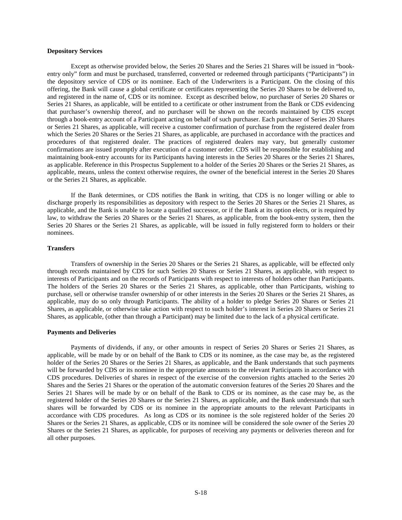#### **Depository Services**

Except as otherwise provided below, the Series 20 Shares and the Series 21 Shares will be issued in "bookentry only" form and must be purchased, transferred, converted or redeemed through participants ("Participants") in the depository service of CDS or its nominee. Each of the Underwriters is a Participant. On the closing of this offering, the Bank will cause a global certificate or certificates representing the Series 20 Shares to be delivered to, and registered in the name of, CDS or its nominee. Except as described below, no purchaser of Series 20 Shares or Series 21 Shares, as applicable, will be entitled to a certificate or other instrument from the Bank or CDS evidencing that purchaser's ownership thereof, and no purchaser will be shown on the records maintained by CDS except through a book-entry account of a Participant acting on behalf of such purchaser. Each purchaser of Series 20 Shares or Series 21 Shares, as applicable, will receive a customer confirmation of purchase from the registered dealer from which the Series 20 Shares or the Series 21 Shares, as applicable, are purchased in accordance with the practices and procedures of that registered dealer. The practices of registered dealers may vary, but generally customer confirmations are issued promptly after execution of a customer order. CDS will be responsible for establishing and maintaining book-entry accounts for its Participants having interests in the Series 20 Shares or the Series 21 Shares, as applicable. Reference in this Prospectus Supplement to a holder of the Series 20 Shares or the Series 21 Shares, as applicable, means, unless the context otherwise requires, the owner of the beneficial interest in the Series 20 Shares or the Series 21 Shares, as applicable.

If the Bank determines, or CDS notifies the Bank in writing, that CDS is no longer willing or able to discharge properly its responsibilities as depository with respect to the Series 20 Shares or the Series 21 Shares, as applicable, and the Bank is unable to locate a qualified successor, or if the Bank at its option elects, or is required by law, to withdraw the Series 20 Shares or the Series 21 Shares, as applicable, from the book-entry system, then the Series 20 Shares or the Series 21 Shares, as applicable, will be issued in fully registered form to holders or their nominees.

## **Transfers**

Transfers of ownership in the Series 20 Shares or the Series 21 Shares, as applicable, will be effected only through records maintained by CDS for such Series 20 Shares or Series 21 Shares, as applicable, with respect to interests of Participants and on the records of Participants with respect to interests of holders other than Participants. The holders of the Series 20 Shares or the Series 21 Shares, as applicable, other than Participants, wishing to purchase, sell or otherwise transfer ownership of or other interests in the Series 20 Shares or the Series 21 Shares, as applicable, may do so only through Participants. The ability of a holder to pledge Series 20 Shares or Series 21 Shares, as applicable, or otherwise take action with respect to such holder's interest in Series 20 Shares or Series 21 Shares, as applicable, (other than through a Participant) may be limited due to the lack of a physical certificate.

### **Payments and Deliveries**

Payments of dividends, if any, or other amounts in respect of Series 20 Shares or Series 21 Shares, as applicable, will be made by or on behalf of the Bank to CDS or its nominee, as the case may be, as the registered holder of the Series 20 Shares or the Series 21 Shares, as applicable, and the Bank understands that such payments will be forwarded by CDS or its nominee in the appropriate amounts to the relevant Participants in accordance with CDS procedures. Deliveries of shares in respect of the exercise of the conversion rights attached to the Series 20 Shares and the Series 21 Shares or the operation of the automatic conversion features of the Series 20 Shares and the Series 21 Shares will be made by or on behalf of the Bank to CDS or its nominee, as the case may be, as the registered holder of the Series 20 Shares or the Series 21 Shares, as applicable, and the Bank understands that such shares will be forwarded by CDS or its nominee in the appropriate amounts to the relevant Participants in accordance with CDS procedures. As long as CDS or its nominee is the sole registered holder of the Series 20 Shares or the Series 21 Shares, as applicable, CDS or its nominee will be considered the sole owner of the Series 20 Shares or the Series 21 Shares, as applicable, for purposes of receiving any payments or deliveries thereon and for all other purposes.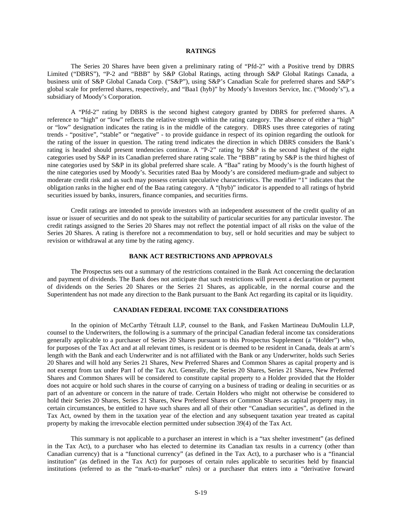# **RATINGS**

The Series 20 Shares have been given a preliminary rating of "Pfd-2" with a Positive trend by DBRS Limited ("DBRS"), "P-2 and "BBB" by S&P Global Ratings, acting through S&P Global Ratings Canada, a business unit of S&P Global Canada Corp. ("S&P"), using S&P's Canadian Scale for preferred shares and S&P's global scale for preferred shares, respectively, and "Baa1 (hyb)" by Moody's Investors Service, Inc. ("Moody's"), a subsidiary of Moody's Corporation.

A "Pfd-2" rating by DBRS is the second highest category granted by DBRS for preferred shares. A reference to "high" or "low" reflects the relative strength within the rating category. The absence of either a "high" or "low" designation indicates the rating is in the middle of the category. DBRS uses three categories of rating trends - "positive", "stable" or "negative" - to provide guidance in respect of its opinion regarding the outlook for the rating of the issuer in question. The rating trend indicates the direction in which DBRS considers the Bank's rating is headed should present tendencies continue. A "P-2" rating by S&P is the second highest of the eight categories used by S&P in its Canadian preferred share rating scale. The "BBB" rating by S&P is the third highest of nine categories used by S&P in its global preferred share scale. A "Baa" rating by Moody's is the fourth highest of the nine categories used by Moody's. Securities rated Baa by Moody's are considered medium-grade and subject to moderate credit risk and as such may possess certain speculative characteristics. The modifier "1" indicates that the obligation ranks in the higher end of the Baa rating category. A "(hyb)" indicator is appended to all ratings of hybrid securities issued by banks, insurers, finance companies, and securities firms.

Credit ratings are intended to provide investors with an independent assessment of the credit quality of an issue or issuer of securities and do not speak to the suitability of particular securities for any particular investor. The credit ratings assigned to the Series 20 Shares may not reflect the potential impact of all risks on the value of the Series 20 Shares. A rating is therefore not a recommendation to buy, sell or hold securities and may be subject to revision or withdrawal at any time by the rating agency.

### **BANK ACT RESTRICTIONS AND APPROVALS**

The Prospectus sets out a summary of the restrictions contained in the Bank Act concerning the declaration and payment of dividends. The Bank does not anticipate that such restrictions will prevent a declaration or payment of dividends on the Series 20 Shares or the Series 21 Shares, as applicable, in the normal course and the Superintendent has not made any direction to the Bank pursuant to the Bank Act regarding its capital or its liquidity.

#### **CANADIAN FEDERAL INCOME TAX CONSIDERATIONS**

In the opinion of McCarthy Tétrault LLP, counsel to the Bank, and Fasken Martineau DuMoulin LLP, counsel to the Underwriters, the following is a summary of the principal Canadian federal income tax considerations generally applicable to a purchaser of Series 20 Shares pursuant to this Prospectus Supplement (a "Holder") who, for purposes of the Tax Act and at all relevant times, is resident or is deemed to be resident in Canada, deals at arm's length with the Bank and each Underwriter and is not affiliated with the Bank or any Underwriter, holds such Series 20 Shares and will hold any Series 21 Shares, New Preferred Shares and Common Shares as capital property and is not exempt from tax under Part I of the Tax Act. Generally, the Series 20 Shares, Series 21 Shares, New Preferred Shares and Common Shares will be considered to constitute capital property to a Holder provided that the Holder does not acquire or hold such shares in the course of carrying on a business of trading or dealing in securities or as part of an adventure or concern in the nature of trade. Certain Holders who might not otherwise be considered to hold their Series 20 Shares, Series 21 Shares, New Preferred Shares or Common Shares as capital property may, in certain circumstances, be entitled to have such shares and all of their other "Canadian securities", as defined in the Tax Act, owned by them in the taxation year of the election and any subsequent taxation year treated as capital property by making the irrevocable election permitted under subsection 39(4) of the Tax Act.

This summary is not applicable to a purchaser an interest in which is a "tax shelter investment" (as defined in the Tax Act), to a purchaser who has elected to determine its Canadian tax results in a currency (other than Canadian currency) that is a "functional currency" (as defined in the Tax Act), to a purchaser who is a "financial institution" (as defined in the Tax Act) for purposes of certain rules applicable to securities held by financial institutions (referred to as the "mark-to-market" rules) or a purchaser that enters into a "derivative forward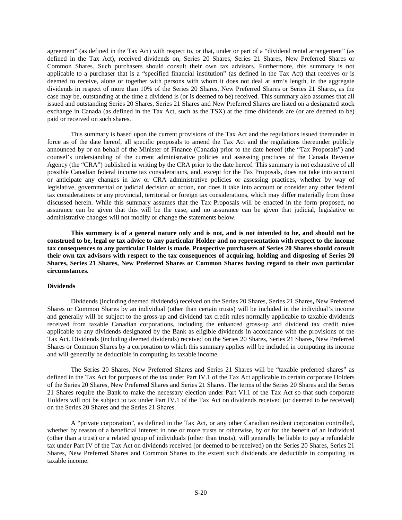agreement" (as defined in the Tax Act) with respect to, or that, under or part of a "dividend rental arrangement" (as defined in the Tax Act), received dividends on, Series 20 Shares, Series 21 Shares, New Preferred Shares or Common Shares. Such purchasers should consult their own tax advisors. Furthermore, this summary is not applicable to a purchaser that is a "specified financial institution" (as defined in the Tax Act) that receives or is deemed to receive, alone or together with persons with whom it does not deal at arm's length, in the aggregate dividends in respect of more than 10% of the Series 20 Shares, New Preferred Shares or Series 21 Shares, as the case may be, outstanding at the time a dividend is (or is deemed to be) received. This summary also assumes that all issued and outstanding Series 20 Shares, Series 21 Shares and New Preferred Shares are listed on a designated stock exchange in Canada (as defined in the Tax Act, such as the TSX) at the time dividends are (or are deemed to be) paid or received on such shares.

This summary is based upon the current provisions of the Tax Act and the regulations issued thereunder in force as of the date hereof, all specific proposals to amend the Tax Act and the regulations thereunder publicly announced by or on behalf of the Minister of Finance (Canada) prior to the date hereof (the "Tax Proposals") and counsel's understanding of the current administrative policies and assessing practices of the Canada Revenue Agency (the "CRA") published in writing by the CRA prior to the date hereof. This summary is not exhaustive of all possible Canadian federal income tax considerations, and, except for the Tax Proposals, does not take into account or anticipate any changes in law or CRA administrative policies or assessing practices, whether by way of legislative, governmental or judicial decision or action, nor does it take into account or consider any other federal tax considerations or any provincial, territorial or foreign tax considerations, which may differ materially from those discussed herein. While this summary assumes that the Tax Proposals will be enacted in the form proposed, no assurance can be given that this will be the case, and no assurance can be given that judicial, legislative or administrative changes will not modify or change the statements below.

**This summary is of a general nature only and is not, and is not intended to be, and should not be construed to be, legal or tax advice to any particular Holder and no representation with respect to the income tax consequences to any particular Holder is made. Prospective purchasers of Series 20 Shares should consult their own tax advisors with respect to the tax consequences of acquiring, holding and disposing of Series 20 Shares, Series 21 Shares, New Preferred Shares or Common Shares having regard to their own particular circumstances.**

# **Dividends**

Dividends (including deemed dividends) received on the Series 20 Shares, Series 21 Shares**,** New Preferred Shares or Common Shares by an individual (other than certain trusts) will be included in the individual's income and generally will be subject to the gross-up and dividend tax credit rules normally applicable to taxable dividends received from taxable Canadian corporations, including the enhanced gross-up and dividend tax credit rules applicable to any dividends designated by the Bank as eligible dividends in accordance with the provisions of the Tax Act. Dividends (including deemed dividends) received on the Series 20 Shares, Series 21 Shares**,** New Preferred Shares or Common Shares by a corporation to which this summary applies will be included in computing its income and will generally be deductible in computing its taxable income.

The Series 20 Shares, New Preferred Shares and Series 21 Shares will be "taxable preferred shares" as defined in the Tax Act for purposes of the tax under Part IV.1 of the Tax Act applicable to certain corporate Holders of the Series 20 Shares, New Preferred Shares and Series 21 Shares. The terms of the Series 20 Shares and the Series 21 Shares require the Bank to make the necessary election under Part VI.1 of the Tax Act so that such corporate Holders will not be subject to tax under Part IV.1 of the Tax Act on dividends received (or deemed to be received) on the Series 20 Shares and the Series 21 Shares.

A "private corporation", as defined in the Tax Act, or any other Canadian resident corporation controlled, whether by reason of a beneficial interest in one or more trusts or otherwise, by or for the benefit of an individual (other than a trust) or a related group of individuals (other than trusts), will generally be liable to pay a refundable tax under Part IV of the Tax Act on dividends received (or deemed to be received) on the Series 20 Shares, Series 21 Shares, New Preferred Shares and Common Shares to the extent such dividends are deductible in computing its taxable income.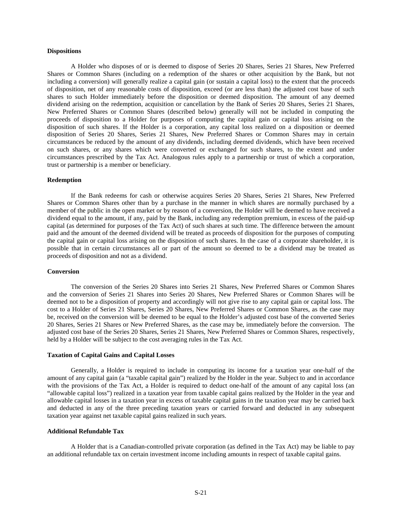### **Dispositions**

A Holder who disposes of or is deemed to dispose of Series 20 Shares, Series 21 Shares, New Preferred Shares or Common Shares (including on a redemption of the shares or other acquisition by the Bank, but not including a conversion) will generally realize a capital gain (or sustain a capital loss) to the extent that the proceeds of disposition, net of any reasonable costs of disposition, exceed (or are less than) the adjusted cost base of such shares to such Holder immediately before the disposition or deemed disposition. The amount of any deemed dividend arising on the redemption, acquisition or cancellation by the Bank of Series 20 Shares, Series 21 Shares, New Preferred Shares or Common Shares (described below) generally will not be included in computing the proceeds of disposition to a Holder for purposes of computing the capital gain or capital loss arising on the disposition of such shares. If the Holder is a corporation, any capital loss realized on a disposition or deemed disposition of Series 20 Shares, Series 21 Shares, New Preferred Shares or Common Shares may in certain circumstances be reduced by the amount of any dividends, including deemed dividends, which have been received on such shares, or any shares which were converted or exchanged for such shares, to the extent and under circumstances prescribed by the Tax Act. Analogous rules apply to a partnership or trust of which a corporation, trust or partnership is a member or beneficiary.

### **Redemption**

If the Bank redeems for cash or otherwise acquires Series 20 Shares, Series 21 Shares, New Preferred Shares or Common Shares other than by a purchase in the manner in which shares are normally purchased by a member of the public in the open market or by reason of a conversion, the Holder will be deemed to have received a dividend equal to the amount, if any, paid by the Bank, including any redemption premium, in excess of the paid-up capital (as determined for purposes of the Tax Act) of such shares at such time. The difference between the amount paid and the amount of the deemed dividend will be treated as proceeds of disposition for the purposes of computing the capital gain or capital loss arising on the disposition of such shares. In the case of a corporate shareholder, it is possible that in certain circumstances all or part of the amount so deemed to be a dividend may be treated as proceeds of disposition and not as a dividend.

### **Conversion**

The conversion of the Series 20 Shares into Series 21 Shares, New Preferred Shares or Common Shares and the conversion of Series 21 Shares into Series 20 Shares, New Preferred Shares or Common Shares will be deemed not to be a disposition of property and accordingly will not give rise to any capital gain or capital loss. The cost to a Holder of Series 21 Shares, Series 20 Shares, New Preferred Shares or Common Shares, as the case may be, received on the conversion will be deemed to be equal to the Holder's adjusted cost base of the converted Series 20 Shares, Series 21 Shares or New Preferred Shares, as the case may be, immediately before the conversion. The adjusted cost base of the Series 20 Shares, Series 21 Shares, New Preferred Shares or Common Shares, respectively, held by a Holder will be subject to the cost averaging rules in the Tax Act.

#### **Taxation of Capital Gains and Capital Losses**

Generally, a Holder is required to include in computing its income for a taxation year one-half of the amount of any capital gain (a "taxable capital gain") realized by the Holder in the year. Subject to and in accordance with the provisions of the Tax Act, a Holder is required to deduct one-half of the amount of any capital loss (an "allowable capital loss") realized in a taxation year from taxable capital gains realized by the Holder in the year and allowable capital losses in a taxation year in excess of taxable capital gains in the taxation year may be carried back and deducted in any of the three preceding taxation years or carried forward and deducted in any subsequent taxation year against net taxable capital gains realized in such years.

#### **Additional Refundable Tax**

A Holder that is a Canadian-controlled private corporation (as defined in the Tax Act) may be liable to pay an additional refundable tax on certain investment income including amounts in respect of taxable capital gains.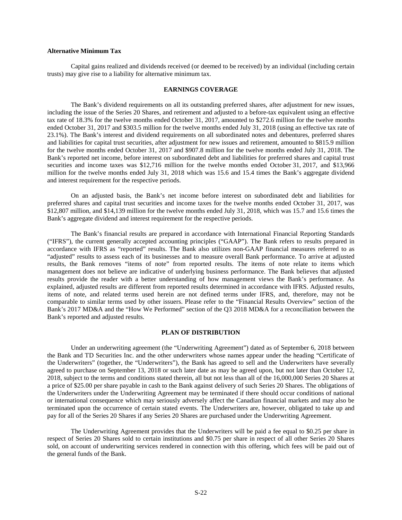## **Alternative Minimum Tax**

Capital gains realized and dividends received (or deemed to be received) by an individual (including certain trusts) may give rise to a liability for alternative minimum tax.

#### **EARNINGS COVERAGE**

The Bank's dividend requirements on all its outstanding preferred shares, after adjustment for new issues, including the issue of the Series 20 Shares, and retirement and adjusted to a before-tax equivalent using an effective tax rate of 18.3% for the twelve months ended October 31, 2017, amounted to \$272.6 million for the twelve months ended October 31, 2017 and \$303.5 million for the twelve months ended July 31, 2018 (using an effective tax rate of 23.1%). The Bank's interest and dividend requirements on all subordinated notes and debentures, preferred shares and liabilities for capital trust securities, after adjustment for new issues and retirement, amounted to \$815.9 million for the twelve months ended October 31, 2017 and \$907.8 million for the twelve months ended July 31, 2018. The Bank's reported net income, before interest on subordinated debt and liabilities for preferred shares and capital trust securities and income taxes was \$12,716 million for the twelve months ended October 31, 2017, and \$13,966 million for the twelve months ended July 31, 2018 which was 15.6 and 15.4 times the Bank's aggregate dividend and interest requirement for the respective periods.

On an adjusted basis, the Bank's net income before interest on subordinated debt and liabilities for preferred shares and capital trust securities and income taxes for the twelve months ended October 31, 2017, was \$12,807 million, and \$14,139 million for the twelve months ended July 31, 2018, which was 15.7 and 15.6 times the Bank's aggregate dividend and interest requirement for the respective periods.

The Bank's financial results are prepared in accordance with International Financial Reporting Standards ("IFRS"), the current generally accepted accounting principles ("GAAP"). The Bank refers to results prepared in accordance with IFRS as "reported" results. The Bank also utilizes non-GAAP financial measures referred to as "adjusted" results to assess each of its businesses and to measure overall Bank performance. To arrive at adjusted results, the Bank removes "items of note" from reported results. The items of note relate to items which management does not believe are indicative of underlying business performance. The Bank believes that adjusted results provide the reader with a better understanding of how management views the Bank's performance. As explained, adjusted results are different from reported results determined in accordance with IFRS. Adjusted results, items of note, and related terms used herein are not defined terms under IFRS, and, therefore, may not be comparable to similar terms used by other issuers. Please refer to the "Financial Results Overview" section of the Bank's 2017 MD&A and the "How We Performed" section of the Q3 2018 MD&A for a reconciliation between the Bank's reported and adjusted results.

### **PLAN OF DISTRIBUTION**

Under an underwriting agreement (the "Underwriting Agreement") dated as of September 6, 2018 between the Bank and TD Securities Inc. and the other underwriters whose names appear under the heading "Certificate of the Underwriters" (together, the "Underwriters"), the Bank has agreed to sell and the Underwriters have severally agreed to purchase on September 13, 2018 or such later date as may be agreed upon, but not later than October 12, 2018, subject to the terms and conditions stated therein, all but not less than all of the 16,000,000 Series 20 Shares at a price of \$25.00 per share payable in cash to the Bank against delivery of such Series 20 Shares. The obligations of the Underwriters under the Underwriting Agreement may be terminated if there should occur conditions of national or international consequence which may seriously adversely affect the Canadian financial markets and may also be terminated upon the occurrence of certain stated events. The Underwriters are, however, obligated to take up and pay for all of the Series 20 Shares if any Series 20 Shares are purchased under the Underwriting Agreement.

The Underwriting Agreement provides that the Underwriters will be paid a fee equal to \$0.25 per share in respect of Series 20 Shares sold to certain institutions and \$0.75 per share in respect of all other Series 20 Shares sold, on account of underwriting services rendered in connection with this offering, which fees will be paid out of the general funds of the Bank.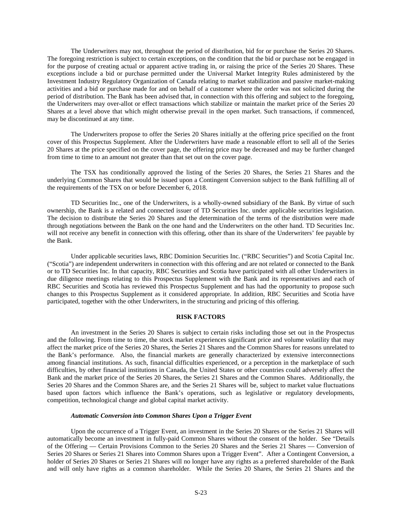The Underwriters may not, throughout the period of distribution, bid for or purchase the Series 20 Shares. The foregoing restriction is subject to certain exceptions, on the condition that the bid or purchase not be engaged in for the purpose of creating actual or apparent active trading in, or raising the price of the Series 20 Shares. These exceptions include a bid or purchase permitted under the Universal Market Integrity Rules administered by the Investment Industry Regulatory Organization of Canada relating to market stabilization and passive market-making activities and a bid or purchase made for and on behalf of a customer where the order was not solicited during the period of distribution. The Bank has been advised that, in connection with this offering and subject to the foregoing, the Underwriters may over-allot or effect transactions which stabilize or maintain the market price of the Series 20 Shares at a level above that which might otherwise prevail in the open market. Such transactions, if commenced, may be discontinued at any time.

The Underwriters propose to offer the Series 20 Shares initially at the offering price specified on the front cover of this Prospectus Supplement. After the Underwriters have made a reasonable effort to sell all of the Series 20 Shares at the price specified on the cover page, the offering price may be decreased and may be further changed from time to time to an amount not greater than that set out on the cover page.

The TSX has conditionally approved the listing of the Series 20 Shares, the Series 21 Shares and the underlying Common Shares that would be issued upon a Contingent Conversion subject to the Bank fulfilling all of the requirements of the TSX on or before December 6, 2018.

TD Securities Inc., one of the Underwriters, is a wholly-owned subsidiary of the Bank. By virtue of such ownership, the Bank is a related and connected issuer of TD Securities Inc. under applicable securities legislation. The decision to distribute the Series 20 Shares and the determination of the terms of the distribution were made through negotiations between the Bank on the one hand and the Underwriters on the other hand. TD Securities Inc. will not receive any benefit in connection with this offering, other than its share of the Underwriters' fee payable by the Bank.

Under applicable securities laws, RBC Dominion Securities Inc. ("RBC Securities") and Scotia Capital Inc. ("Scotia") are independent underwriters in connection with this offering and are not related or connected to the Bank or to TD Securities Inc. In that capacity, RBC Securities and Scotia have participated with all other Underwriters in due diligence meetings relating to this Prospectus Supplement with the Bank and its representatives and each of RBC Securities and Scotia has reviewed this Prospectus Supplement and has had the opportunity to propose such changes to this Prospectus Supplement as it considered appropriate. In addition, RBC Securities and Scotia have participated, together with the other Underwriters, in the structuring and pricing of this offering.

### **RISK FACTORS**

An investment in the Series 20 Shares is subject to certain risks including those set out in the Prospectus and the following. From time to time, the stock market experiences significant price and volume volatility that may affect the market price of the Series 20 Shares, the Series 21 Shares and the Common Shares for reasons unrelated to the Bank's performance. Also, the financial markets are generally characterized by extensive interconnections among financial institutions. As such, financial difficulties experienced, or a perception in the marketplace of such difficulties, by other financial institutions in Canada, the United States or other countries could adversely affect the Bank and the market price of the Series 20 Shares, the Series 21 Shares and the Common Shares. Additionally, the Series 20 Shares and the Common Shares are, and the Series 21 Shares will be, subject to market value fluctuations based upon factors which influence the Bank's operations, such as legislative or regulatory developments, competition, technological change and global capital market activity.

#### *Automatic Conversion into Common Shares Upon a Trigger Event*

Upon the occurrence of a Trigger Event, an investment in the Series 20 Shares or the Series 21 Shares will automatically become an investment in fully-paid Common Shares without the consent of the holder. See "Details of the Offering — Certain Provisions Common to the Series 20 Shares and the Series 21 Shares — Conversion of Series 20 Shares or Series 21 Shares into Common Shares upon a Trigger Event". After a Contingent Conversion, a holder of Series 20 Shares or Series 21 Shares will no longer have any rights as a preferred shareholder of the Bank and will only have rights as a common shareholder. While the Series 20 Shares, the Series 21 Shares and the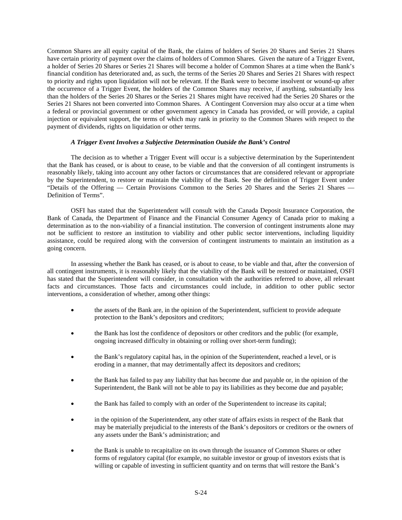Common Shares are all equity capital of the Bank, the claims of holders of Series 20 Shares and Series 21 Shares have certain priority of payment over the claims of holders of Common Shares. Given the nature of a Trigger Event, a holder of Series 20 Shares or Series 21 Shares will become a holder of Common Shares at a time when the Bank's financial condition has deteriorated and, as such, the terms of the Series 20 Shares and Series 21 Shares with respect to priority and rights upon liquidation will not be relevant. If the Bank were to become insolvent or wound-up after the occurrence of a Trigger Event, the holders of the Common Shares may receive, if anything, substantially less than the holders of the Series 20 Shares or the Series 21 Shares might have received had the Series 20 Shares or the Series 21 Shares not been converted into Common Shares. A Contingent Conversion may also occur at a time when a federal or provincial government or other government agency in Canada has provided, or will provide, a capital injection or equivalent support, the terms of which may rank in priority to the Common Shares with respect to the payment of dividends, rights on liquidation or other terms.

### *A Trigger Event Involves a Subjective Determination Outside the Bank's Control*

The decision as to whether a Trigger Event will occur is a subjective determination by the Superintendent that the Bank has ceased, or is about to cease, to be viable and that the conversion of all contingent instruments is reasonably likely, taking into account any other factors or circumstances that are considered relevant or appropriate by the Superintendent, to restore or maintain the viability of the Bank. See the definition of Trigger Event under "Details of the Offering — Certain Provisions Common to the Series 20 Shares and the Series 21 Shares — Definition of Terms".

OSFI has stated that the Superintendent will consult with the Canada Deposit Insurance Corporation, the Bank of Canada, the Department of Finance and the Financial Consumer Agency of Canada prior to making a determination as to the non-viability of a financial institution. The conversion of contingent instruments alone may not be sufficient to restore an institution to viability and other public sector interventions, including liquidity assistance, could be required along with the conversion of contingent instruments to maintain an institution as a going concern.

In assessing whether the Bank has ceased, or is about to cease, to be viable and that, after the conversion of all contingent instruments, it is reasonably likely that the viability of the Bank will be restored or maintained, OSFI has stated that the Superintendent will consider, in consultation with the authorities referred to above, all relevant facts and circumstances. Those facts and circumstances could include, in addition to other public sector interventions, a consideration of whether, among other things:

- the assets of the Bank are, in the opinion of the Superintendent, sufficient to provide adequate protection to the Bank's depositors and creditors;
- the Bank has lost the confidence of depositors or other creditors and the public (for example, ongoing increased difficulty in obtaining or rolling over short-term funding);
- the Bank's regulatory capital has, in the opinion of the Superintendent, reached a level, or is eroding in a manner, that may detrimentally affect its depositors and creditors;
- the Bank has failed to pay any liability that has become due and payable or, in the opinion of the Superintendent, the Bank will not be able to pay its liabilities as they become due and payable;
- the Bank has failed to comply with an order of the Superintendent to increase its capital;
- in the opinion of the Superintendent, any other state of affairs exists in respect of the Bank that may be materially prejudicial to the interests of the Bank's depositors or creditors or the owners of any assets under the Bank's administration; and
- the Bank is unable to recapitalize on its own through the issuance of Common Shares or other forms of regulatory capital (for example, no suitable investor or group of investors exists that is willing or capable of investing in sufficient quantity and on terms that will restore the Bank's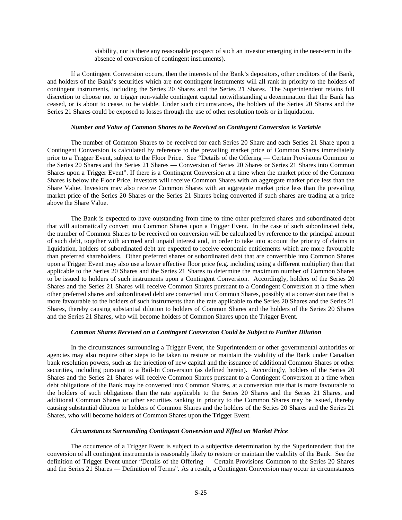viability, nor is there any reasonable prospect of such an investor emerging in the near-term in the absence of conversion of contingent instruments).

If a Contingent Conversion occurs, then the interests of the Bank's depositors, other creditors of the Bank, and holders of the Bank's securities which are not contingent instruments will all rank in priority to the holders of contingent instruments, including the Series 20 Shares and the Series 21 Shares. The Superintendent retains full discretion to choose not to trigger non-viable contingent capital notwithstanding a determination that the Bank has ceased, or is about to cease, to be viable. Under such circumstances, the holders of the Series 20 Shares and the Series 21 Shares could be exposed to losses through the use of other resolution tools or in liquidation.

### *Number and Value of Common Shares to be Received on Contingent Conversion is Variable*

The number of Common Shares to be received for each Series 20 Share and each Series 21 Share upon a Contingent Conversion is calculated by reference to the prevailing market price of Common Shares immediately prior to a Trigger Event, subject to the Floor Price. See "Details of the Offering — Certain Provisions Common to the Series 20 Shares and the Series 21 Shares — Conversion of Series 20 Shares or Series 21 Shares into Common Shares upon a Trigger Event". If there is a Contingent Conversion at a time when the market price of the Common Shares is below the Floor Price, investors will receive Common Shares with an aggregate market price less than the Share Value. Investors may also receive Common Shares with an aggregate market price less than the prevailing market price of the Series 20 Shares or the Series 21 Shares being converted if such shares are trading at a price above the Share Value.

The Bank is expected to have outstanding from time to time other preferred shares and subordinated debt that will automatically convert into Common Shares upon a Trigger Event. In the case of such subordinated debt, the number of Common Shares to be received on conversion will be calculated by reference to the principal amount of such debt, together with accrued and unpaid interest and, in order to take into account the priority of claims in liquidation, holders of subordinated debt are expected to receive economic entitlements which are more favourable than preferred shareholders. Other preferred shares or subordinated debt that are convertible into Common Shares upon a Trigger Event may also use a lower effective floor price (e.g. including using a different multiplier) than that applicable to the Series 20 Shares and the Series 21 Shares to determine the maximum number of Common Shares to be issued to holders of such instruments upon a Contingent Conversion. Accordingly, holders of the Series 20 Shares and the Series 21 Shares will receive Common Shares pursuant to a Contingent Conversion at a time when other preferred shares and subordinated debt are converted into Common Shares, possibly at a conversion rate that is more favourable to the holders of such instruments than the rate applicable to the Series 20 Shares and the Series 21 Shares, thereby causing substantial dilution to holders of Common Shares and the holders of the Series 20 Shares and the Series 21 Shares, who will become holders of Common Shares upon the Trigger Event.

### *Common Shares Received on a Contingent Conversion Could be Subject to Further Dilution*

In the circumstances surrounding a Trigger Event, the Superintendent or other governmental authorities or agencies may also require other steps to be taken to restore or maintain the viability of the Bank under Canadian bank resolution powers, such as the injection of new capital and the issuance of additional Common Shares or other securities, including pursuant to a Bail-In Conversion (as defined herein). Accordingly, holders of the Series 20 Shares and the Series 21 Shares will receive Common Shares pursuant to a Contingent Conversion at a time when debt obligations of the Bank may be converted into Common Shares, at a conversion rate that is more favourable to the holders of such obligations than the rate applicable to the Series 20 Shares and the Series 21 Shares, and additional Common Shares or other securities ranking in priority to the Common Shares may be issued, thereby causing substantial dilution to holders of Common Shares and the holders of the Series 20 Shares and the Series 21 Shares, who will become holders of Common Shares upon the Trigger Event.

#### *Circumstances Surrounding Contingent Conversion and Effect on Market Price*

The occurrence of a Trigger Event is subject to a subjective determination by the Superintendent that the conversion of all contingent instruments is reasonably likely to restore or maintain the viability of the Bank. See the definition of Trigger Event under "Details of the Offering — Certain Provisions Common to the Series 20 Shares and the Series 21 Shares — Definition of Terms". As a result, a Contingent Conversion may occur in circumstances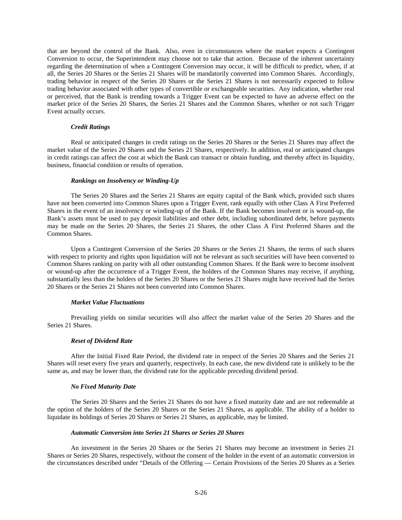that are beyond the control of the Bank. Also, even in circumstances where the market expects a Contingent Conversion to occur, the Superintendent may choose not to take that action. Because of the inherent uncertainty regarding the determination of when a Contingent Conversion may occur, it will be difficult to predict, when, if at all, the Series 20 Shares or the Series 21 Shares will be mandatorily converted into Common Shares. Accordingly, trading behavior in respect of the Series 20 Shares or the Series 21 Shares is not necessarily expected to follow trading behavior associated with other types of convertible or exchangeable securities. Any indication, whether real or perceived, that the Bank is trending towards a Trigger Event can be expected to have an adverse effect on the market price of the Series 20 Shares, the Series 21 Shares and the Common Shares, whether or not such Trigger Event actually occurs.

### *Credit Ratings*

Real or anticipated changes in credit ratings on the Series 20 Shares or the Series 21 Shares may affect the market value of the Series 20 Shares and the Series 21 Shares, respectively. In addition, real or anticipated changes in credit ratings can affect the cost at which the Bank can transact or obtain funding, and thereby affect its liquidity, business, financial condition or results of operation.

## *Rankings on Insolvency or Winding-Up*

The Series 20 Shares and the Series 21 Shares are equity capital of the Bank which, provided such shares have not been converted into Common Shares upon a Trigger Event, rank equally with other Class A First Preferred Shares in the event of an insolvency or winding-up of the Bank. If the Bank becomes insolvent or is wound-up, the Bank's assets must be used to pay deposit liabilities and other debt, including subordinated debt, before payments may be made on the Series 20 Shares, the Series 21 Shares, the other Class A First Preferred Shares and the Common Shares.

Upon a Contingent Conversion of the Series 20 Shares or the Series 21 Shares, the terms of such shares with respect to priority and rights upon liquidation will not be relevant as such securities will have been converted to Common Shares ranking on parity with all other outstanding Common Shares. If the Bank were to become insolvent or wound-up after the occurrence of a Trigger Event, the holders of the Common Shares may receive, if anything, substantially less than the holders of the Series 20 Shares or the Series 21 Shares might have received had the Series 20 Shares or the Series 21 Shares not been converted into Common Shares.

### *Market Value Fluctuations*

Prevailing yields on similar securities will also affect the market value of the Series 20 Shares and the Series 21 Shares.

#### *Reset of Dividend Rate*

After the Initial Fixed Rate Period, the dividend rate in respect of the Series 20 Shares and the Series 21 Shares will reset every five years and quarterly, respectively. In each case, the new dividend rate is unlikely to be the same as, and may be lower than, the dividend rate for the applicable preceding dividend period.

### *No Fixed Maturity Date*

The Series 20 Shares and the Series 21 Shares do not have a fixed maturity date and are not redeemable at the option of the holders of the Series 20 Shares or the Series 21 Shares, as applicable. The ability of a holder to liquidate its holdings of Series 20 Shares or Series 21 Shares, as applicable, may be limited.

### *Automatic Conversion into Series 21 Shares or Series 20 Shares*

An investment in the Series 20 Shares or the Series 21 Shares may become an investment in Series 21 Shares or Series 20 Shares, respectively, without the consent of the holder in the event of an automatic conversion in the circumstances described under "Details of the Offering — Certain Provisions of the Series 20 Shares as a Series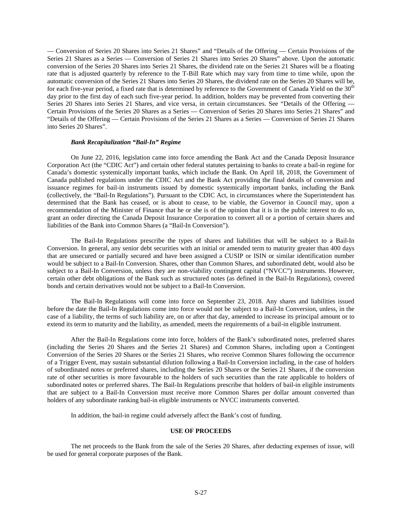— Conversion of Series 20 Shares into Series 21 Shares" and "Details of the Offering — Certain Provisions of the Series 21 Shares as a Series — Conversion of Series 21 Shares into Series 20 Shares" above. Upon the automatic conversion of the Series 20 Shares into Series 21 Shares, the dividend rate on the Series 21 Shares will be a floating rate that is adjusted quarterly by reference to the T-Bill Rate which may vary from time to time while, upon the automatic conversion of the Series 21 Shares into Series 20 Shares, the dividend rate on the Series 20 Shares will be, for each five-year period, a fixed rate that is determined by reference to the Government of Canada Yield on the 30<sup>th</sup> day prior to the first day of each such five-year period. In addition, holders may be prevented from converting their Series 20 Shares into Series 21 Shares, and vice versa, in certain circumstances. See "Details of the Offering — Certain Provisions of the Series 20 Shares as a Series — Conversion of Series 20 Shares into Series 21 Shares" and "Details of the Offering — Certain Provisions of the Series 21 Shares as a Series — Conversion of Series 21 Shares into Series 20 Shares".

### *Bank Recapitalization "Bail-In" Regime*

On June 22, 2016, legislation came into force amending the Bank Act and the Canada Deposit Insurance Corporation Act (the "CDIC Act") and certain other federal statutes pertaining to banks to create a bail-in regime for Canada's domestic systemically important banks, which include the Bank. On April 18, 2018, the Government of Canada published regulations under the CDIC Act and the Bank Act providing the final details of conversion and issuance regimes for bail-in instruments issued by domestic systemically important banks, including the Bank (collectively, the "Bail-In Regulations"). Pursuant to the CDIC Act, in circumstances where the Superintendent has determined that the Bank has ceased, or is about to cease, to be viable, the Governor in Council may, upon a recommendation of the Minister of Finance that he or she is of the opinion that it is in the public interest to do so, grant an order directing the Canada Deposit Insurance Corporation to convert all or a portion of certain shares and liabilities of the Bank into Common Shares (a "Bail-In Conversion").

The Bail-In Regulations prescribe the types of shares and liabilities that will be subject to a Bail-In Conversion. In general, any senior debt securities with an initial or amended term to maturity greater than 400 days that are unsecured or partially secured and have been assigned a CUSIP or ISIN or similar identification number would be subject to a Bail-In Conversion. Shares, other than Common Shares, and subordinated debt, would also be subject to a Bail-In Conversion, unless they are non-viability contingent capital ("NVCC") instruments. However, certain other debt obligations of the Bank such as structured notes (as defined in the Bail-In Regulations), covered bonds and certain derivatives would not be subject to a Bail-In Conversion.

The Bail-In Regulations will come into force on September 23, 2018. Any shares and liabilities issued before the date the Bail-In Regulations come into force would not be subject to a Bail-In Conversion, unless, in the case of a liability, the terms of such liability are, on or after that day, amended to increase its principal amount or to extend its term to maturity and the liability, as amended, meets the requirements of a bail-in eligible instrument.

After the Bail-In Regulations come into force, holders of the Bank's subordinated notes, preferred shares (including the Series 20 Shares and the Series 21 Shares) and Common Shares, including upon a Contingent Conversion of the Series 20 Shares or the Series 21 Shares, who receive Common Shares following the occurrence of a Trigger Event, may sustain substantial dilution following a Bail-In Conversion including, in the case of holders of subordinated notes or preferred shares, including the Series 20 Shares or the Series 21 Shares, if the conversion rate of other securities is more favourable to the holders of such securities than the rate applicable to holders of subordinated notes or preferred shares. The Bail-In Regulations prescribe that holders of bail-in eligible instruments that are subject to a Bail-In Conversion must receive more Common Shares per dollar amount converted than holders of any subordinate ranking bail-in eligible instruments or NVCC instruments converted.

In addition, the bail-in regime could adversely affect the Bank's cost of funding.

# **USE OF PROCEEDS**

The net proceeds to the Bank from the sale of the Series 20 Shares, after deducting expenses of issue, will be used for general corporate purposes of the Bank.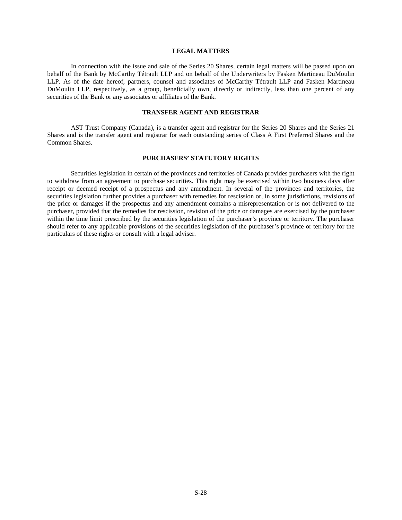### **LEGAL MATTERS**

In connection with the issue and sale of the Series 20 Shares, certain legal matters will be passed upon on behalf of the Bank by McCarthy Tétrault LLP and on behalf of the Underwriters by Fasken Martineau DuMoulin LLP. As of the date hereof, partners, counsel and associates of McCarthy Tétrault LLP and Fasken Martineau DuMoulin LLP, respectively, as a group, beneficially own, directly or indirectly, less than one percent of any securities of the Bank or any associates or affiliates of the Bank.

# **TRANSFER AGENT AND REGISTRAR**

AST Trust Company (Canada), is a transfer agent and registrar for the Series 20 Shares and the Series 21 Shares and is the transfer agent and registrar for each outstanding series of Class A First Preferred Shares and the Common Shares.

#### **PURCHASERS' STATUTORY RIGHTS**

Securities legislation in certain of the provinces and territories of Canada provides purchasers with the right to withdraw from an agreement to purchase securities. This right may be exercised within two business days after receipt or deemed receipt of a prospectus and any amendment. In several of the provinces and territories, the securities legislation further provides a purchaser with remedies for rescission or, in some jurisdictions, revisions of the price or damages if the prospectus and any amendment contains a misrepresentation or is not delivered to the purchaser, provided that the remedies for rescission, revision of the price or damages are exercised by the purchaser within the time limit prescribed by the securities legislation of the purchaser's province or territory. The purchaser should refer to any applicable provisions of the securities legislation of the purchaser's province or territory for the particulars of these rights or consult with a legal adviser.